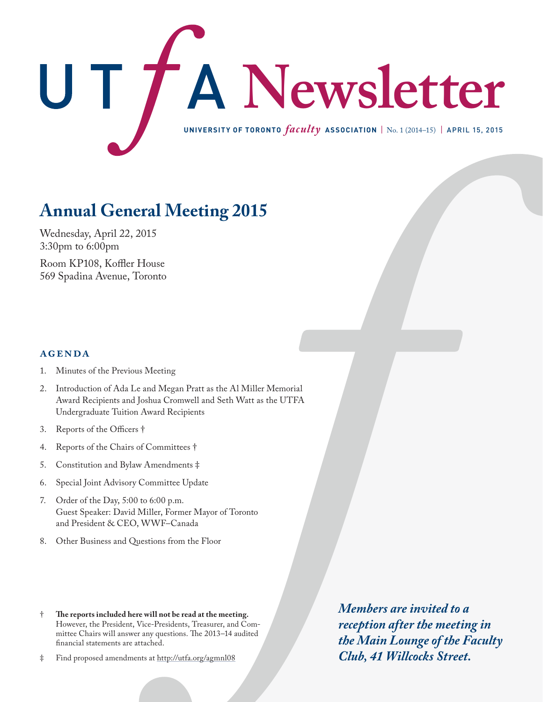

# **Annual General Meeting 2015**

Wednesday, April 22, 2015 3:30pm to 6:00pm

Room KP108, Koffler House 569 Spadina Avenue, Toronto

## **agenda**

- 1. Minutes of the Previous Meeting
- 2. Introduction of Ada Le and Megan Pratt as the Al Miller Memorial Award Recipients and Joshua Cromwell and Seth Watt as the UTFA Undergraduate Tuition Award Recipients
- 3. Reports of the Officers †
- 4. Reports of the Chairs of Committees †
- 5. Constitution and Bylaw Amendments ‡
- 6. Special Joint Advisory Committee Update
- 7. Order of the Day, 5:00 to 6:00 p.m. Guest Speaker: David Miller, Former Mayor of Toronto and President & CEO, WWF–Canada
- 8. Other Business and Questions from the Floor
- † **The reports included here will not be read at the meeting.** However, the President, Vice-Presidents, Treasurer, and Committee Chairs will answer any questions. The 2013–14 audited financial statements are attached.
- ‡ Find proposed amendments at http://utfa.org/agmnl08

*Members are invited to a reception after the meeting in the Main Lounge of the Faculty Club, 41 Willcocks Street.*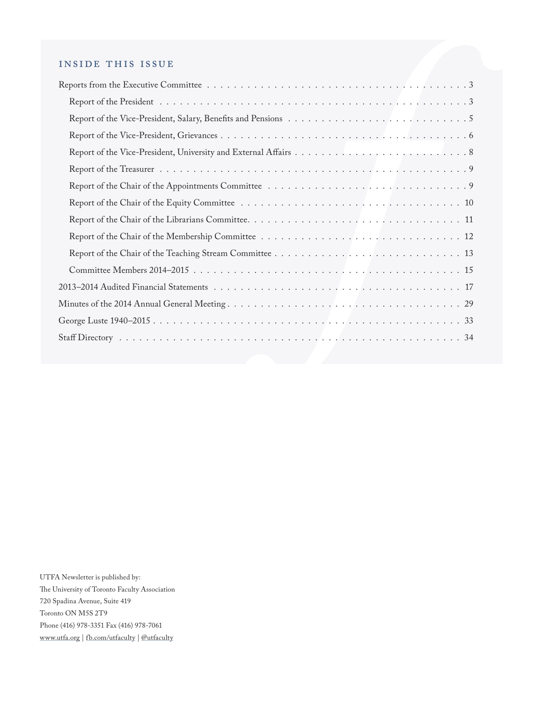## inside this issue

UTFA Newsletter is published by: The University of Toronto Faculty Association 720 Spadina Avenue, Suite 419 Toronto ON M5S 2T9 Phone (416) 978-3351 Fax (416) 978-7061 [www.utfa.org](http://www.utfa.org) | [fb.com/utfaculty](http://facebook.com/utfaculty) | [@utfaculty](http://twitter.com/utfaculty)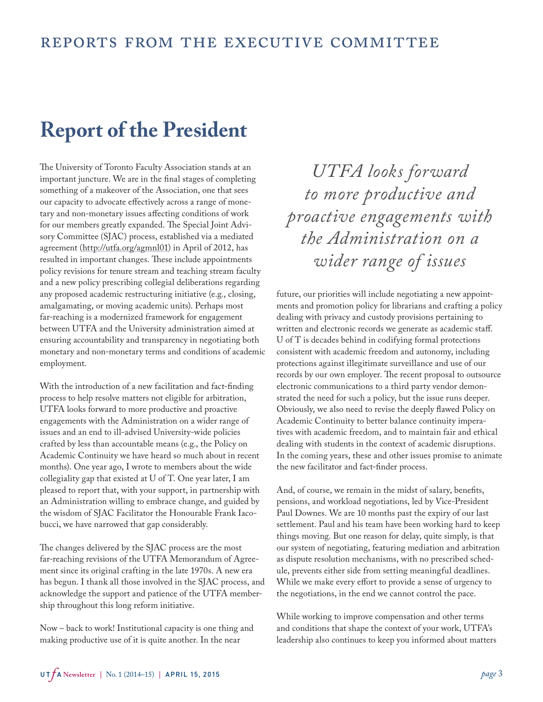# <span id="page-2-0"></span>**Report of the President**

The University of Toronto Faculty Association stands at an important juncture. We are in the final stages of completing something of a makeover of the Association, one that sees our capacity to advocate effectively across a range of monetary and non-monetary issues affecting conditions of work for our members greatly expanded. The Special Joint Advisory Committee (SJAC) process, established via a mediated agreement [\(http://utfa.org/agmnl01](http://www.utfa.org/agmnl01)) in April of 2012, has resulted in important changes. These include appointments policy revisions for tenure stream and teaching stream faculty and a new policy prescribing collegial deliberations regarding any proposed academic restructuring initiative (e.g., closing, amalgamating, or moving academic units). Perhaps most far-reaching is a modernized framework for engagement between UTFA and the University administration aimed at ensuring accountability and transparency in negotiating both monetary and non-monetary terms and conditions of academic employment.

With the introduction of a new facilitation and fact-finding process to help resolve matters not eligible for arbitration, UTFA looks forward to more productive and proactive engagements with the Administration on a wider range of issues and an end to ill-advised University-wide policies crafted by less than accountable means (e.g., the Policy on Academic Continuity we have heard so much about in recent months). One year ago, I wrote to members about the wide collegiality gap that existed at U of T. One year later, I am pleased to report that, with your support, in partnership with an Administration willing to embrace change, and guided by the wisdom of SJAC Facilitator the Honourable Frank Iacobucci, we have narrowed that gap considerably.

The changes delivered by the SJAC process are the most far-reaching revisions of the UTFA Memorandum of Agreement since its original crafting in the late 1970s. A new era has begun. I thank all those involved in the SJAC process, and acknowledge the support and patience of the UTFA membership throughout this long reform initiative.

Now – back to work! Institutional capacity is one thing and making productive use of it is quite another. In the near

*UTFA looks forward to more productive and proactive engagements with the Administration on a wider range of issues*

future, our priorities will include negotiating a new appointments and promotion policy for librarians and crafting a policy dealing with privacy and custody provisions pertaining to written and electronic records we generate as academic staff. U of T is decades behind in codifying formal protections consistent with academic freedom and autonomy, including protections against illegitimate surveillance and use of our records by our own employer. The recent proposal to outsource electronic communications to a third party vendor demonstrated the need for such a policy, but the issue runs deeper. Obviously, we also need to revise the deeply flawed Policy on Academic Continuity to better balance continuity imperatives with academic freedom, and to maintain fair and ethical dealing with students in the context of academic disruptions. In the coming years, these and other issues promise to animate the new facilitator and fact-finder process.

And, of course, we remain in the midst of salary, benefits, pensions, and workload negotiations, led by Vice-President Paul Downes. We are 10 months past the expiry of our last settlement. Paul and his team have been working hard to keep things moving. But one reason for delay, quite simply, is that our system of negotiating, featuring mediation and arbitration as dispute resolution mechanisms, with no prescribed schedule, prevents either side from setting meaningful deadlines. While we make every effort to provide a sense of urgency to the negotiations, in the end we cannot control the pace.

While working to improve compensation and other terms and conditions that shape the context of your work, UTFA's leadership also continues to keep you informed about matters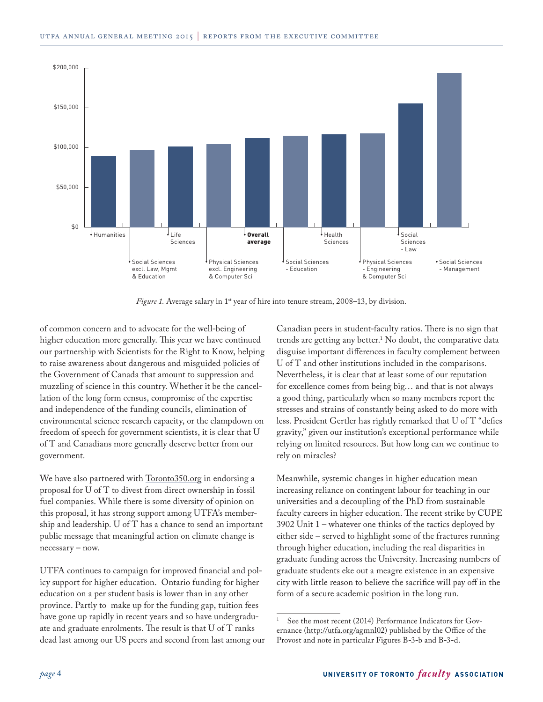

*Figure 1.* Average salary in 1<sup>st</sup> year of hire into tenure stream, 2008–13, by division.

of common concern and to advocate for the well-being of higher education more generally. This year we have continued our partnership with Scientists for the Right to Know, helping to raise awareness about dangerous and misguided policies of the Government of Canada that amount to suppression and muzzling of science in this country. Whether it be the cancellation of the long form census, compromise of the expertise and independence of the funding councils, elimination of environmental science research capacity, or the clampdown on freedom of speech for government scientists, it is clear that U of T and Canadians more generally deserve better from our government.

We have also partnered with **Toronto350.org** in endorsing a proposal for U of T to divest from direct ownership in fossil fuel companies. While there is some diversity of opinion on this proposal, it has strong support among UTFA's membership and leadership. U of T has a chance to send an important public message that meaningful action on climate change is necessary – now.

UTFA continues to campaign for improved financial and policy support for higher education. Ontario funding for higher education on a per student basis is lower than in any other province. Partly to make up for the funding gap, tuition fees have gone up rapidly in recent years and so have undergraduate and graduate enrolments. The result is that U of T ranks dead last among our US peers and second from last among our Canadian peers in student-faculty ratios. There is no sign that trends are getting any better.1 No doubt, the comparative data disguise important differences in faculty complement between U of T and other institutions included in the comparisons. Nevertheless, it is clear that at least some of our reputation for excellence comes from being big… and that is not always a good thing, particularly when so many members report the stresses and strains of constantly being asked to do more with less. President Gertler has rightly remarked that U of T "defies gravity," given our institution's exceptional performance while relying on limited resources. But how long can we continue to rely on miracles?

Meanwhile, systemic changes in higher education mean increasing reliance on contingent labour for teaching in our universities and a decoupling of the PhD from sustainable faculty careers in higher education. The recent strike by CUPE 3902 Unit 1 – whatever one thinks of the tactics deployed by either side – served to highlight some of the fractures running through higher education, including the real disparities in graduate funding across the University. Increasing numbers of graduate students eke out a meagre existence in an expensive city with little reason to believe the sacrifice will pay off in the form of a secure academic position in the long run.

See the most recent (2014) Performance Indicators for Governance ([http://utfa.org/agmnl02\)](http://www.utfa.org/agmnl02) published by the Office of the Provost and note in particular Figures B-3-b and B-3-d.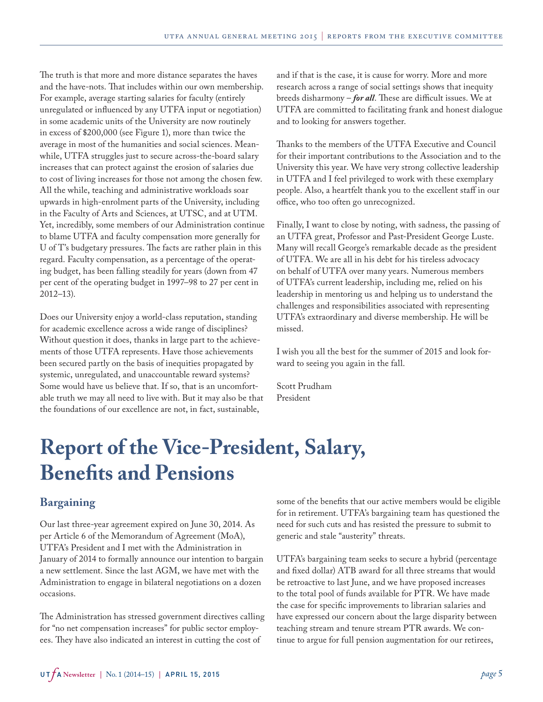<span id="page-4-0"></span>The truth is that more and more distance separates the haves and the have-nots. That includes within our own membership. For example, average starting salaries for faculty (entirely unregulated or influenced by any UTFA input or negotiation) in some academic units of the University are now routinely in excess of \$200,000 (see Figure 1), more than twice the average in most of the humanities and social sciences. Meanwhile, UTFA struggles just to secure across-the-board salary increases that can protect against the erosion of salaries due to cost of living increases for those not among the chosen few. All the while, teaching and administrative workloads soar upwards in high-enrolment parts of the University, including in the Faculty of Arts and Sciences, at UTSC, and at UTM. Yet, incredibly, some members of our Administration continue to blame UTFA and faculty compensation more generally for U of T's budgetary pressures. The facts are rather plain in this regard. Faculty compensation, as a percentage of the operating budget, has been falling steadily for years (down from 47 per cent of the operating budget in 1997–98 to 27 per cent in 2012–13).

Does our University enjoy a world-class reputation, standing for academic excellence across a wide range of disciplines? Without question it does, thanks in large part to the achievements of those UTFA represents. Have those achievements been secured partly on the basis of inequities propagated by systemic, unregulated, and unaccountable reward systems? Some would have us believe that. If so, that is an uncomfortable truth we may all need to live with. But it may also be that the foundations of our excellence are not, in fact, sustainable,

and if that is the case, it is cause for worry. More and more research across a range of social settings shows that inequity breeds disharmony – *for all*. These are difficult issues. We at UTFA are committed to facilitating frank and honest dialogue and to looking for answers together.

Thanks to the members of the UTFA Executive and Council for their important contributions to the Association and to the University this year. We have very strong collective leadership in UTFA and I feel privileged to work with these exemplary people. Also, a heartfelt thank you to the excellent staff in our office, who too often go unrecognized.

Finally, I want to close by noting, with sadness, the passing of an UTFA great, Professor and Past-President George Luste. Many will recall George's remarkable decade as the president of UTFA. We are all in his debt for his tireless advocacy on behalf of UTFA over many years. Numerous members of UTFA's current leadership, including me, relied on his leadership in mentoring us and helping us to understand the challenges and responsibilities associated with representing UTFA's extraordinary and diverse membership. He will be missed.

I wish you all the best for the summer of 2015 and look forward to seeing you again in the fall.

Scott Prudham President

# **Report of the Vice-President, Salary, Benefits and Pensions**

## **Bargaining**

Our last three-year agreement expired on June 30, 2014. As per Article 6 of the Memorandum of Agreement (MoA), UTFA's President and I met with the Administration in January of 2014 to formally announce our intention to bargain a new settlement. Since the last AGM, we have met with the Administration to engage in bilateral negotiations on a dozen occasions.

The Administration has stressed government directives calling for "no net compensation increases" for public sector employees. They have also indicated an interest in cutting the cost of

some of the benefits that our active members would be eligible for in retirement. UTFA's bargaining team has questioned the need for such cuts and has resisted the pressure to submit to generic and stale "austerity" threats.

UTFA's bargaining team seeks to secure a hybrid (percentage and fixed dollar) ATB award for all three streams that would be retroactive to last June, and we have proposed increases to the total pool of funds available for PTR. We have made the case for specific improvements to librarian salaries and have expressed our concern about the large disparity between teaching stream and tenure stream PTR awards. We continue to argue for full pension augmentation for our retirees,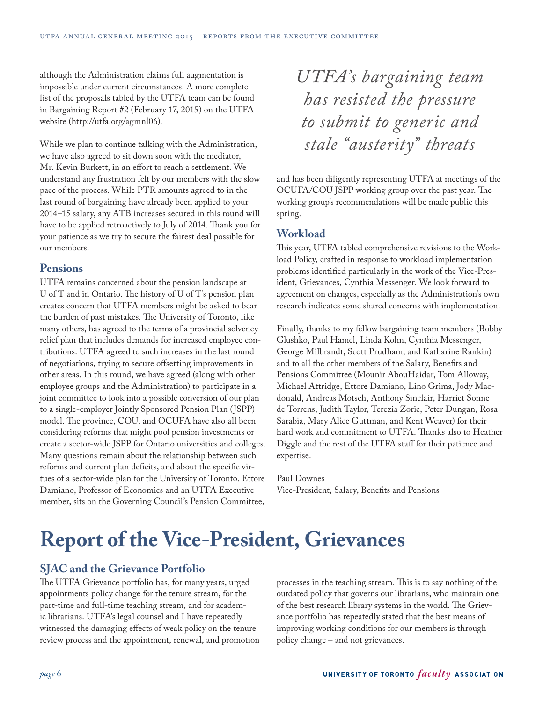<span id="page-5-0"></span>although the Administration claims full augmentation is impossible under current circumstances. A more complete list of the proposals tabled by the UTFA team can be found in Bargaining Report #2 (February 17, 2015) on the UTFA website ([http://utfa.org/agmnl06\)](http://www.utfa.org/agmnl06).

While we plan to continue talking with the Administration, we have also agreed to sit down soon with the mediator, Mr. Kevin Burkett, in an effort to reach a settlement. We understand any frustration felt by our members with the slow pace of the process. While PTR amounts agreed to in the last round of bargaining have already been applied to your 2014–15 salary, any ATB increases secured in this round will have to be applied retroactively to July of 2014. Thank you for your patience as we try to secure the fairest deal possible for our members.

## **Pensions**

UTFA remains concerned about the pension landscape at U of T and in Ontario. The history of U of T's pension plan creates concern that UTFA members might be asked to bear the burden of past mistakes. The University of Toronto, like many others, has agreed to the terms of a provincial solvency relief plan that includes demands for increased employee contributions. UTFA agreed to such increases in the last round of negotiations, trying to secure offsetting improvements in other areas. In this round, we have agreed (along with other employee groups and the Administration) to participate in a joint committee to look into a possible conversion of our plan to a single-employer Jointly Sponsored Pension Plan (JSPP) model. The province, COU, and OCUFA have also all been considering reforms that might pool pension investments or create a sector-wide JSPP for Ontario universities and colleges. Many questions remain about the relationship between such reforms and current plan deficits, and about the specific virtues of a sector-wide plan for the University of Toronto. Ettore Damiano, Professor of Economics and an UTFA Executive member, sits on the Governing Council's Pension Committee,

*UTFA's bargaining team has resisted the pressure to submit to generic and stale "austerity" threats*

and has been diligently representing UTFA at meetings of the OCUFA/COU JSPP working group over the past year. The working group's recommendations will be made public this spring.

## **Workload**

This year, UTFA tabled comprehensive revisions to the Workload Policy, crafted in response to workload implementation problems identified particularly in the work of the Vice-President, Grievances, Cynthia Messenger. We look forward to agreement on changes, especially as the Administration's own research indicates some shared concerns with implementation.

Finally, thanks to my fellow bargaining team members (Bobby Glushko, Paul Hamel, Linda Kohn, Cynthia Messenger, George Milbrandt, Scott Prudham, and Katharine Rankin) and to all the other members of the Salary, Benefits and Pensions Committee (Mounir AbouHaidar, Tom Alloway, Michael Attridge, Ettore Damiano, Lino Grima, Jody Macdonald, Andreas Motsch, Anthony Sinclair, Harriet Sonne de Torrens, Judith Taylor, Terezia Zoric, Peter Dungan, Rosa Sarabia, Mary Alice Guttman, and Kent Weaver) for their hard work and commitment to UTFA. Thanks also to Heather Diggle and the rest of the UTFA staff for their patience and expertise.

#### Paul Downes

Vice-President, Salary, Benefits and Pensions

# **Report of the Vice-President, Grievances**

## **SJAC and the Grievance Portfolio**

The UTFA Grievance portfolio has, for many years, urged appointments policy change for the tenure stream, for the part-time and full-time teaching stream, and for academic librarians. UTFA's legal counsel and I have repeatedly witnessed the damaging effects of weak policy on the tenure review process and the appointment, renewal, and promotion processes in the teaching stream. This is to say nothing of the outdated policy that governs our librarians, who maintain one of the best research library systems in the world. The Grievance portfolio has repeatedly stated that the best means of improving working conditions for our members is through policy change – and not grievances.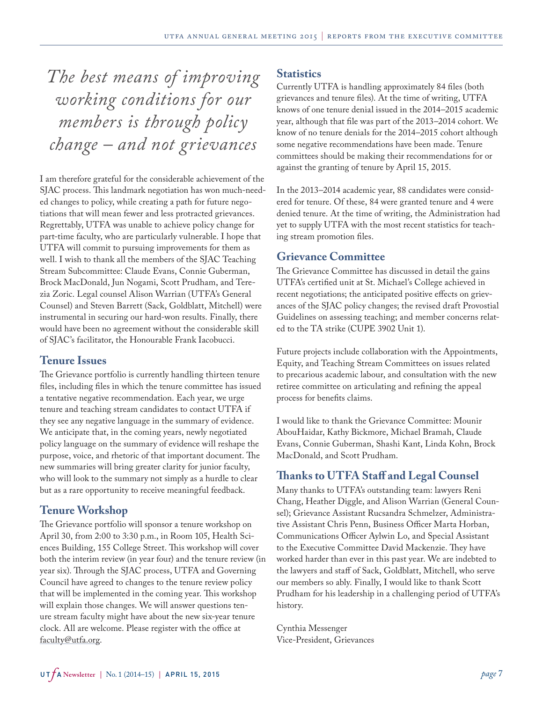*The best means of improving working conditions for our members is through policy change – and not grievances*

I am therefore grateful for the considerable achievement of the SJAC process. This landmark negotiation has won much-needed changes to policy, while creating a path for future negotiations that will mean fewer and less protracted grievances. Regrettably, UTFA was unable to achieve policy change for part-time faculty, who are particularly vulnerable. I hope that UTFA will commit to pursuing improvements for them as well. I wish to thank all the members of the SJAC Teaching Stream Subcommittee: Claude Evans, Connie Guberman, Brock MacDonald, Jun Nogami, Scott Prudham, and Terezia Zoric. Legal counsel Alison Warrian (UTFA's General Counsel) and Steven Barrett (Sack, Goldblatt, Mitchell) were instrumental in securing our hard-won results. Finally, there would have been no agreement without the considerable skill of SJAC's facilitator, the Honourable Frank Iacobucci.

## **Tenure Issues**

The Grievance portfolio is currently handling thirteen tenure files, including files in which the tenure committee has issued a tentative negative recommendation. Each year, we urge tenure and teaching stream candidates to contact UTFA if they see any negative language in the summary of evidence. We anticipate that, in the coming years, newly negotiated policy language on the summary of evidence will reshape the purpose, voice, and rhetoric of that important document. The new summaries will bring greater clarity for junior faculty, who will look to the summary not simply as a hurdle to clear but as a rare opportunity to receive meaningful feedback.

# **Tenure Workshop**

The Grievance portfolio will sponsor a tenure workshop on April 30, from 2:00 to 3:30 p.m., in Room 105, Health Sciences Building, 155 College Street. This workshop will cover both the interim review (in year four) and the tenure review (in year six). Through the SJAC process, UTFA and Governing Council have agreed to changes to the tenure review policy that will be implemented in the coming year. This workshop will explain those changes. We will answer questions tenure stream faculty might have about the new six-year tenure clock. All are welcome. Please register with the office at [faculty@utfa.org](mailto:faculty@utfa.org).

## **Statistics**

Currently UTFA is handling approximately 84 files (both grievances and tenure files). At the time of writing, UTFA knows of one tenure denial issued in the 2014–2015 academic year, although that file was part of the 2013–2014 cohort. We know of no tenure denials for the 2014–2015 cohort although some negative recommendations have been made. Tenure committees should be making their recommendations for or against the granting of tenure by April 15, 2015.

In the 2013–2014 academic year, 88 candidates were considered for tenure. Of these, 84 were granted tenure and 4 were denied tenure. At the time of writing, the Administration had yet to supply UTFA with the most recent statistics for teaching stream promotion files.

## **Grievance Committee**

The Grievance Committee has discussed in detail the gains UTFA's certified unit at St. Michael's College achieved in recent negotiations; the anticipated positive effects on grievances of the SJAC policy changes; the revised draft Provostial Guidelines on assessing teaching; and member concerns related to the TA strike (CUPE 3902 Unit 1).

Future projects include collaboration with the Appointments, Equity, and Teaching Stream Committees on issues related to precarious academic labour, and consultation with the new retiree committee on articulating and refining the appeal process for benefits claims.

I would like to thank the Grievance Committee: Mounir AbouHaidar, Kathy Bickmore, Michael Bramah, Claude Evans, Connie Guberman, Shashi Kant, Linda Kohn, Brock MacDonald, and Scott Prudham.

## **Thanks to UTFA Staff and Legal Counsel**

Many thanks to UTFA's outstanding team: lawyers Reni Chang, Heather Diggle, and Alison Warrian (General Counsel); Grievance Assistant Rucsandra Schmelzer, Administrative Assistant Chris Penn, Business Officer Marta Horban, Communications Officer Aylwin Lo, and Special Assistant to the Executive Committee David Mackenzie. They have worked harder than ever in this past year. We are indebted to the lawyers and staff of Sack, Goldblatt, Mitchell, who serve our members so ably. Finally, I would like to thank Scott Prudham for his leadership in a challenging period of UTFA's history.

Cynthia Messenger Vice-President, Grievances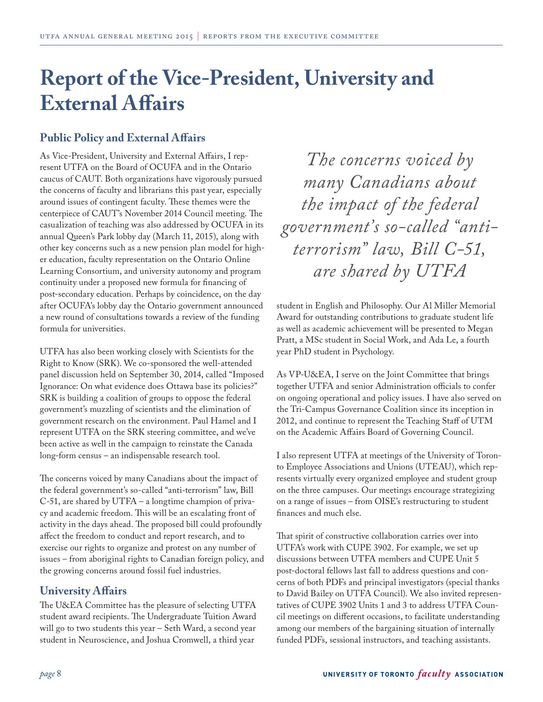# <span id="page-7-0"></span>**Report of the Vice-President, University and External Affairs**

# **Public Policy and External Affairs**

As Vice-President, University and External Affairs, I represent UTFA on the Board of OCUFA and in the Ontario caucus of CAUT. Both organizations have vigorously pursued the concerns of faculty and librarians this past year, especially around issues of contingent faculty. These themes were the centerpiece of CAUT's November 2014 Council meeting. The casualization of teaching was also addressed by OCUFA in its annual Queen's Park lobby day (March 11, 2015), along with other key concerns such as a new pension plan model for higher education, faculty representation on the Ontario Online Learning Consortium, and university autonomy and program continuity under a proposed new formula for financing of post-secondary education. Perhaps by coincidence, on the day after OCUFA's lobby day the Ontario government announced a new round of consultations towards a review of the funding formula for universities.

UTFA has also been working closely with Scientists for the Right to Know (SRK). We co-sponsored the well-attended panel discussion held on September 30, 2014, called "Imposed Ignorance: On what evidence does Ottawa base its policies?" SRK is building a coalition of groups to oppose the federal government's muzzling of scientists and the elimination of government research on the environment. Paul Hamel and I represent UTFA on the SRK steering committee, and we've been active as well in the campaign to reinstate the Canada long-form census – an indispensable research tool.

The concerns voiced by many Canadians about the impact of the federal government's so-called "anti-terrorism" law, Bill C-51, are shared by UTFA – a longtime champion of privacy and academic freedom. This will be an escalating front of activity in the days ahead. The proposed bill could profoundly affect the freedom to conduct and report research, and to exercise our rights to organize and protest on any number of issues – from aboriginal rights to Canadian foreign policy, and the growing concerns around fossil fuel industries.

# **University Affairs**

The U&EA Committee has the pleasure of selecting UTFA student award recipients. The Undergraduate Tuition Award will go to two students this year – Seth Ward, a second year student in Neuroscience, and Joshua Cromwell, a third year

*The concerns voiced by many Canadians about the impact of the federal government's so-called "antiterrorism" law, Bill C-51, are shared by UTFA*

student in English and Philosophy. Our Al Miller Memorial Award for outstanding contributions to graduate student life as well as academic achievement will be presented to Megan Pratt, a MSc student in Social Work, and Ada Le, a fourth year PhD student in Psychology.

As VP-U&EA, I serve on the Joint Committee that brings together UTFA and senior Administration officials to confer on ongoing operational and policy issues. I have also served on the Tri-Campus Governance Coalition since its inception in 2012, and continue to represent the Teaching Staff of UTM on the Academic Affairs Board of Governing Council.

I also represent UTFA at meetings of the University of Toronto Employee Associations and Unions (UTEAU), which represents virtually every organized employee and student group on the three campuses. Our meetings encourage strategizing on a range of issues – from OISE's restructuring to student finances and much else.

That spirit of constructive collaboration carries over into UTFA's work with CUPE 3902. For example, we set up discussions between UTFA members and CUPE Unit 5 post-doctoral fellows last fall to address questions and concerns of both PDFs and principal investigators (special thanks to David Bailey on UTFA Council). We also invited representatives of CUPE 3902 Units 1 and 3 to address UTFA Council meetings on different occasions, to facilitate understanding among our members of the bargaining situation of internally funded PDFs, sessional instructors, and teaching assistants.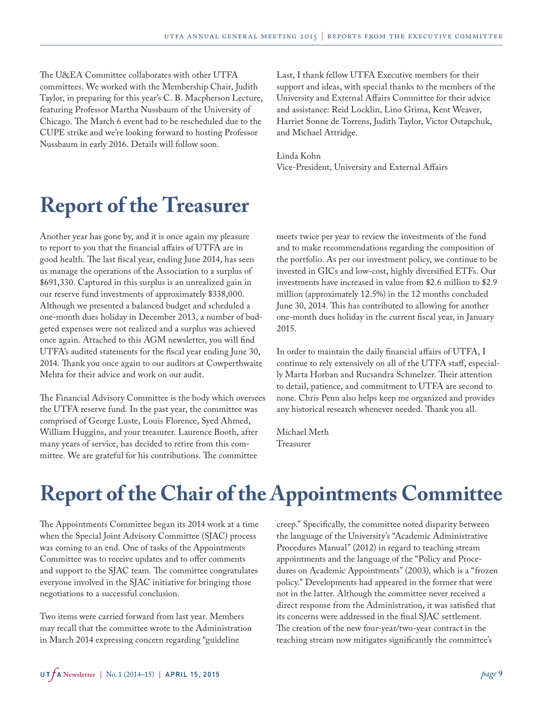<span id="page-8-0"></span>The U&EA Committee collaborates with other UTFA committees. We worked with the Membership Chair, Judith Taylor, in preparing for this year's C. B. Macpherson Lecture, featuring Professor Martha Nussbaum of the University of Chicago. The March 6 event had to be rescheduled due to the CUPE strike and we're looking forward to hosting Professor Nussbaum in early 2016. Details will follow soon.

Last, I thank fellow UTFA Executive members for their support and ideas, with special thanks to the members of the University and External Affairs Committee for their advice and assistance: Reid Locklin, Lino Grima, Kent Weaver, Harriet Sonne de Torrens, Judith Taylor, Victor Ostapchuk, and Michael Attridge.

Linda Kohn Vice-President, University and External Affairs

# **Report of the Treasurer**

Another year has gone by, and it is once again my pleasure to report to you that the financial affairs of UTFA are in good health. The last fiscal year, ending June 2014, has seen us manage the operations of the Association to a surplus of \$691,330. Captured in this surplus is an unrealized gain in our reserve fund investments of approximately \$338,000. Although we presented a balanced budget and scheduled a one-month dues holiday in December 2013, a number of budgeted expenses were not realized and a surplus was achieved once again. Attached to this AGM newsletter, you will find UTFA's audited statements for the fiscal year ending June 30, 2014. Thank you once again to our auditors at Cowperthwaite Mehta for their advice and work on our audit.

The Financial Advisory Committee is the body which oversees the UTFA reserve fund. In the past year, the committee was comprised of George Luste, Louis Florence, Syed Ahmed, William Huggins, and your treasurer. Laurence Booth, after many years of service, has decided to retire from this committee. We are grateful for his contributions. The committee

meets twice per year to review the investments of the fund and to make recommendations regarding the composition of the portfolio. As per our investment policy, we continue to be invested in GICs and low-cost, highly diversified ETFs. Our investments have increased in value from \$2.6 million to \$2.9 million (approximately 12.5%) in the 12 months concluded June 30, 2014. This has contributed to allowing for another one-month dues holiday in the current fiscal year, in January 2015.

In order to maintain the daily financial affairs of UTFA, I continue to rely extensively on all of the UTFA staff, especially Marta Horban and Rucsandra Schmelzer. Their attention to detail, patience, and commitment to UTFA are second to none. Chris Penn also helps keep me organized and provides any historical research whenever needed. Thank you all.

Michael Meth Treasurer

# **Report of the Chair of the Appointments Committee**

The Appointments Committee began its 2014 work at a time when the Special Joint Advisory Committee (SJAC) process was coming to an end. One of tasks of the Appointments Committee was to receive updates and to offer comments and support to the SJAC team. The committee congratulates everyone involved in the SJAC initiative for bringing those negotiations to a successful conclusion.

Two items were carried forward from last year. Members may recall that the committee wrote to the Administration in March 2014 expressing concern regarding "guideline

creep." Specifically, the committee noted disparity between the language of the University's "Academic Administrative Procedures Manual" (2012) in regard to teaching stream appointments and the language of the "Policy and Procedures on Academic Appointments" (2003), which is a "frozen policy." Developments had appeared in the former that were not in the latter. Although the committee never received a direct response from the Administration, it was satisfied that its concerns were addressed in the final SJAC settlement. The creation of the new four-year/two-year contract in the teaching stream now mitigates significantly the committee's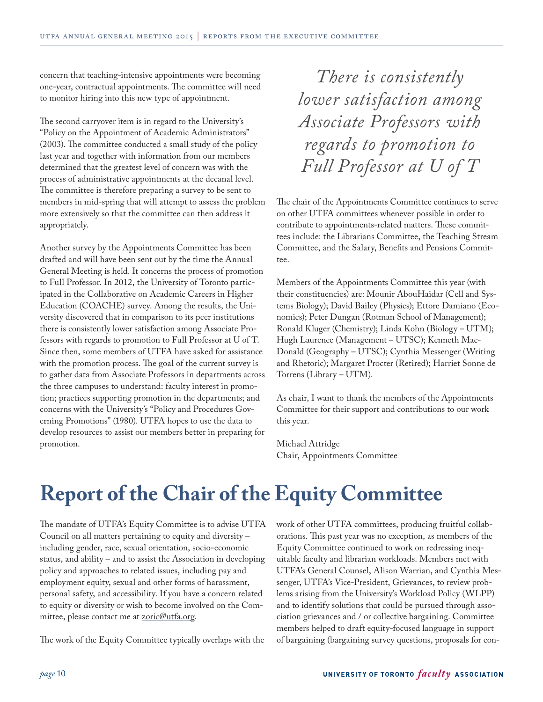<span id="page-9-0"></span>concern that teaching-intensive appointments were becoming one-year, contractual appointments. The committee will need to monitor hiring into this new type of appointment.

The second carryover item is in regard to the University's "Policy on the Appointment of Academic Administrators" (2003). The committee conducted a small study of the policy last year and together with information from our members determined that the greatest level of concern was with the process of administrative appointments at the decanal level. The committee is therefore preparing a survey to be sent to members in mid-spring that will attempt to assess the problem more extensively so that the committee can then address it appropriately.

Another survey by the Appointments Committee has been drafted and will have been sent out by the time the Annual General Meeting is held. It concerns the process of promotion to Full Professor. In 2012, the University of Toronto participated in the Collaborative on Academic Careers in Higher Education (COACHE) survey. Among the results, the University discovered that in comparison to its peer institutions there is consistently lower satisfaction among Associate Professors with regards to promotion to Full Professor at U of T. Since then, some members of UTFA have asked for assistance with the promotion process. The goal of the current survey is to gather data from Associate Professors in departments across the three campuses to understand: faculty interest in promotion; practices supporting promotion in the departments; and concerns with the University's "Policy and Procedures Governing Promotions" (1980). UTFA hopes to use the data to develop resources to assist our members better in preparing for promotion.

*There is consistently lower satisfaction among Associate Professors with regards to promotion to Full Professor at U of T*

The chair of the Appointments Committee continues to serve on other UTFA committees whenever possible in order to contribute to appointments-related matters. These committees include: the Librarians Committee, the Teaching Stream Committee, and the Salary, Benefits and Pensions Committee.

Members of the Appointments Committee this year (with their constituencies) are: Mounir AbouHaidar (Cell and Systems Biology); David Bailey (Physics); Ettore Damiano (Economics); Peter Dungan (Rotman School of Management); Ronald Kluger (Chemistry); Linda Kohn (Biology – UTM); Hugh Laurence (Management – UTSC); Kenneth Mac-Donald (Geography – UTSC); Cynthia Messenger (Writing and Rhetoric); Margaret Procter (Retired); Harriet Sonne de Torrens (Library – UTM).

As chair, I want to thank the members of the Appointments Committee for their support and contributions to our work this year.

Michael Attridge Chair, Appointments Committee

# **Report of the Chair of the Equity Committee**

The mandate of UTFA's Equity Committee is to advise UTFA Council on all matters pertaining to equity and diversity – including gender, race, sexual orientation, socio-economic status, and ability – and to assist the Association in developing policy and approaches to related issues, including pay and employment equity, sexual and other forms of harassment, personal safety, and accessibility. If you have a concern related to equity or diversity or wish to become involved on the Committee, please contact me at **[zoric@utfa.org](mailto:zoric@utfa.org)**.

The work of the Equity Committee typically overlaps with the

work of other UTFA committees, producing fruitful collaborations. This past year was no exception, as members of the Equity Committee continued to work on redressing inequitable faculty and librarian workloads. Members met with UTFA's General Counsel, Alison Warrian, and Cynthia Messenger, UTFA's Vice-President, Grievances, to review problems arising from the University's Workload Policy (WLPP) and to identify solutions that could be pursued through association grievances and / or collective bargaining. Committee members helped to draft equity-focused language in support of bargaining (bargaining survey questions, proposals for con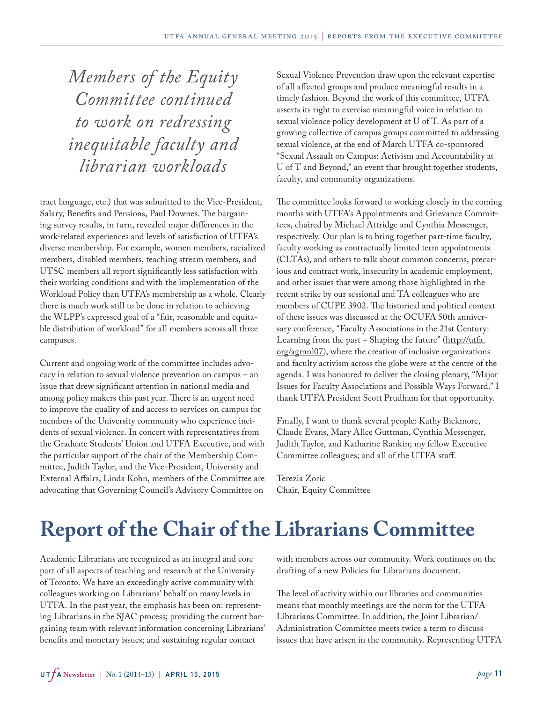<span id="page-10-0"></span>*Members of the Equity Committee continued to work on redressing inequitable faculty and librarian workloads*

tract language, etc.) that was submitted to the Vice-President, Salary, Benefits and Pensions, Paul Downes. The bargaining survey results, in turn, revealed major differences in the work-related experiences and levels of satisfaction of UTFA's diverse membership. For example, women members, racialized members, disabled members, teaching stream members, and UTSC members all report significantly less satisfaction with their working conditions and with the implementation of the Workload Policy than UTFA's membership as a whole. Clearly there is much work still to be done in relation to achieving the WLPP's expressed goal of a "fair, reasonable and equitable distribution of workload" for all members across all three campuses.

Current and ongoing work of the committee includes advocacy in relation to sexual violence prevention on campus – an issue that drew significant attention in national media and among policy makers this past year. There is an urgent need to improve the quality of and access to services on campus for members of the University community who experience incidents of sexual violence. In concert with representatives from the Graduate Students' Union and UTFA Executive, and with the particular support of the chair of the Membership Committee, Judith Taylor, and the Vice-President, University and External Affairs, Linda Kohn, members of the Committee are advocating that Governing Council's Advisory Committee on

Sexual Violence Prevention draw upon the relevant expertise of all affected groups and produce meaningful results in a timely fashion. Beyond the work of this committee, UTFA asserts its right to exercise meaningful voice in relation to sexual violence policy development at U of T. As part of a growing collective of campus groups committed to addressing sexual violence, at the end of March UTFA co-sponsored "Sexual Assault on Campus: Activism and Accountability at U of T and Beyond," an event that brought together students, faculty, and community organizations.

The committee looks forward to working closely in the coming months with UTFA's Appointments and Grievance Committees, chaired by Michael Attridge and Cynthia Messenger, respectively. Our plan is to bring together part-time faculty, faculty working as contractually limited term appointments (CLTAs), and others to talk about common concerns, precarious and contract work, insecurity in academic employment, and other issues that were among those highlighted in the recent strike by our sessional and TA colleagues who are members of CUPE 3902. The historical and political context of these issues was discussed at the OCUFA 50th anniversary conference, "Faculty Associations in the 21st Century: Learning from the past - Shaping the future" ([http://utfa.](http://www.utfa.org/agmnl07) [org/agmnl07\)](http://www.utfa.org/agmnl07), where the creation of inclusive organizations and faculty activism across the globe were at the centre of the agenda. I was honoured to deliver the closing plenary, "Major Issues for Faculty Associations and Possible Ways Forward." I thank UTFA President Scott Prudham for that opportunity.

Finally, I want to thank several people: Kathy Bickmore, Claude Evans, Mary Alice Guttman, Cynthia Messenger, Judith Taylor, and Katharine Rankin; my fellow Executive Committee colleagues; and all of the UTFA staff.

Terezia Zoric Chair, Equity Committee

# **Report of the Chair of the Librarians Committee**

Academic Librarians are recognized as an integral and core part of all aspects of teaching and research at the University of Toronto. We have an exceedingly active community with colleagues working on Librarians' behalf on many levels in UTFA. In the past year, the emphasis has been on: representing Librarians in the SJAC process; providing the current bargaining team with relevant information concerning Librarians' benefits and monetary issues; and sustaining regular contact

with members across our community. Work continues on the drafting of a new Policies for Librarians document.

The level of activity within our libraries and communities means that monthly meetings are the norm for the UTFA Librarians Committee. In addition, the Joint Librarian/ Administration Committee meets twice a term to discuss issues that have arisen in the community. Representing UTFA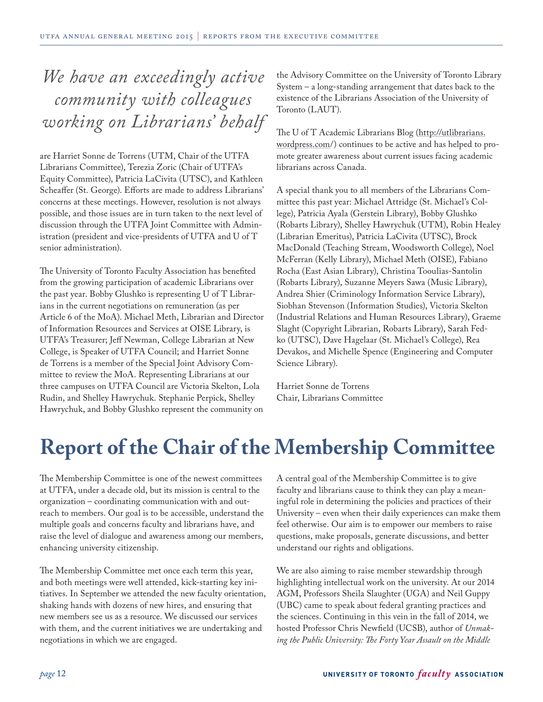# <span id="page-11-0"></span>*We have an exceedingly active community with colleagues working on Librarians' behalf*

are Harriet Sonne de Torrens (UTM, Chair of the UTFA Librarians Committee), Terezia Zoric (Chair of UTFA's Equity Committee), Patricia LaCivita (UTSC), and Kathleen Scheaffer (St. George). Efforts are made to address Librarians' concerns at these meetings. However, resolution is not always possible, and those issues are in turn taken to the next level of discussion through the UTFA Joint Committee with Administration (president and vice-presidents of UTFA and U of T senior administration).

The University of Toronto Faculty Association has benefited from the growing participation of academic Librarians over the past year. Bobby Glushko is representing U of T Librarians in the current negotiations on remuneration (as per Article 6 of the MoA). Michael Meth, Librarian and Director of Information Resources and Services at OISE Library, is UTFA's Treasurer; Jeff Newman, College Librarian at New College, is Speaker of UTFA Council; and Harriet Sonne de Torrens is a member of the Special Joint Advisory Committee to review the MoA. Representing Librarians at our three campuses on UTFA Council are Victoria Skelton, Lola Rudin, and Shelley Hawrychuk. Stephanie Perpick, Shelley Hawrychuk, and Bobby Glushko represent the community on

the Advisory Committee on the University of Toronto Library System – a long-standing arrangement that dates back to the existence of the Librarians Association of the University of Toronto (LAUT).

The U of T Academic Librarians Blog [\(http://utlibrarians.](http://utlibrarians.wordpress.com) [wordpress.com/](http://utlibrarians.wordpress.com)) continues to be active and has helped to promote greater awareness about current issues facing academic librarians across Canada.

A special thank you to all members of the Librarians Committee this past year: Michael Attridge (St. Michael's College), Patricia Ayala (Gerstein Library), Bobby Glushko (Robarts Library), Shelley Hawrychuk (UTM), Robin Healey (Librarian Emeritus), Patricia LaCivita (UTSC), Brock MacDonald (Teaching Stream, Woodsworth College), Noel McFerran (Kelly Library), Michael Meth (OISE), Fabiano Rocha (East Asian Library), Christina Tooulias-Santolin (Robarts Library), Suzanne Meyers Sawa (Music Library), Andrea Shier (Criminology Information Service Library), Siobhan Stevenson (Information Studies), Victoria Skelton (Industrial Relations and Human Resources Library), Graeme Slaght (Copyright Librarian, Robarts Library), Sarah Fedko (UTSC), Dave Hagelaar (St. Michael's College), Rea Devakos, and Michelle Spence (Engineering and Computer Science Library).

Harriet Sonne de Torrens Chair, Librarians Committee

# **Report of the Chair of the Membership Committee**

The Membership Committee is one of the newest committees at UTFA, under a decade old, but its mission is central to the organization – coordinating communication with and outreach to members. Our goal is to be accessible, understand the multiple goals and concerns faculty and librarians have, and raise the level of dialogue and awareness among our members, enhancing university citizenship.

The Membership Committee met once each term this year, and both meetings were well attended, kick-starting key initiatives. In September we attended the new faculty orientation, shaking hands with dozens of new hires, and ensuring that new members see us as a resource. We discussed our services with them, and the current initiatives we are undertaking and negotiations in which we are engaged.

A central goal of the Membership Committee is to give faculty and librarians cause to think they can play a meaningful role in determining the policies and practices of their University – even when their daily experiences can make them feel otherwise. Our aim is to empower our members to raise questions, make proposals, generate discussions, and better understand our rights and obligations.

We are also aiming to raise member stewardship through highlighting intellectual work on the university. At our 2014 AGM, Professors Sheila Slaughter (UGA) and Neil Guppy (UBC) came to speak about federal granting practices and the sciences. Continuing in this vein in the fall of 2014, we hosted Professor Chris Newfield (UCSB), author of *Unmaking the Public University: The Forty Year Assault on the Middle*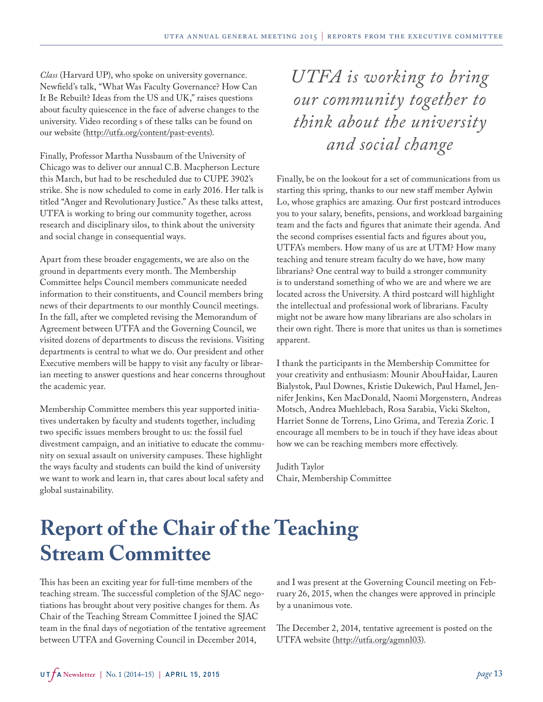<span id="page-12-0"></span>*Class* (Harvard UP), who spoke on university governance. Newfield's talk, "What Was Faculty Governance? How Can It Be Rebuilt? Ideas from the US and UK," raises questions about faculty quiescence in the face of adverse changes to the university. Video recording s of these talks can be found on our website (<http://utfa.org/content/past-events>).

Finally, Professor Martha Nussbaum of the University of Chicago was to deliver our annual C.B. Macpherson Lecture this March, but had to be rescheduled due to CUPE 3902's strike. She is now scheduled to come in early 2016. Her talk is titled "Anger and Revolutionary Justice." As these talks attest, UTFA is working to bring our community together, across research and disciplinary silos, to think about the university and social change in consequential ways.

Apart from these broader engagements, we are also on the ground in departments every month. The Membership Committee helps Council members communicate needed information to their constituents, and Council members bring news of their departments to our monthly Council meetings. In the fall, after we completed revising the Memorandum of Agreement between UTFA and the Governing Council, we visited dozens of departments to discuss the revisions. Visiting departments is central to what we do. Our president and other Executive members will be happy to visit any faculty or librarian meeting to answer questions and hear concerns throughout the academic year.

Membership Committee members this year supported initiatives undertaken by faculty and students together, including two specific issues members brought to us: the fossil fuel divestment campaign, and an initiative to educate the community on sexual assault on university campuses. These highlight the ways faculty and students can build the kind of university we want to work and learn in, that cares about local safety and global sustainability.

*UTFA is working to bring our community together to think about the university and social change*

Finally, be on the lookout for a set of communications from us starting this spring, thanks to our new staff member Aylwin Lo, whose graphics are amazing. Our first postcard introduces you to your salary, benefits, pensions, and workload bargaining team and the facts and figures that animate their agenda. And the second comprises essential facts and figures about you, UTFA's members. How many of us are at UTM? How many teaching and tenure stream faculty do we have, how many librarians? One central way to build a stronger community is to understand something of who we are and where we are located across the University. A third postcard will highlight the intellectual and professional work of librarians. Faculty might not be aware how many librarians are also scholars in their own right. There is more that unites us than is sometimes apparent.

I thank the participants in the Membership Committee for your creativity and enthusiasm: Mounir AbouHaidar, Lauren Bialystok, Paul Downes, Kristie Dukewich, Paul Hamel, Jennifer Jenkins, Ken MacDonald, Naomi Morgenstern, Andreas Motsch, Andrea Muehlebach, Rosa Sarabia, Vicki Skelton, Harriet Sonne de Torrens, Lino Grima, and Terezia Zoric. I encourage all members to be in touch if they have ideas about how we can be reaching members more effectively.

Judith Taylor Chair, Membership Committee

# **Report of the Chair of the Teaching Stream Committee**

This has been an exciting year for full-time members of the teaching stream. The successful completion of the SJAC negotiations has brought about very positive changes for them. As Chair of the Teaching Stream Committee I joined the SJAC team in the final days of negotiation of the tentative agreement between UTFA and Governing Council in December 2014,

and I was present at the Governing Council meeting on February 26, 2015, when the changes were approved in principle by a unanimous vote.

The December 2, 2014, tentative agreement is posted on the UTFA website [\(http://utfa.org/agmnl03\)](http://www.utfa.org/agmnl03).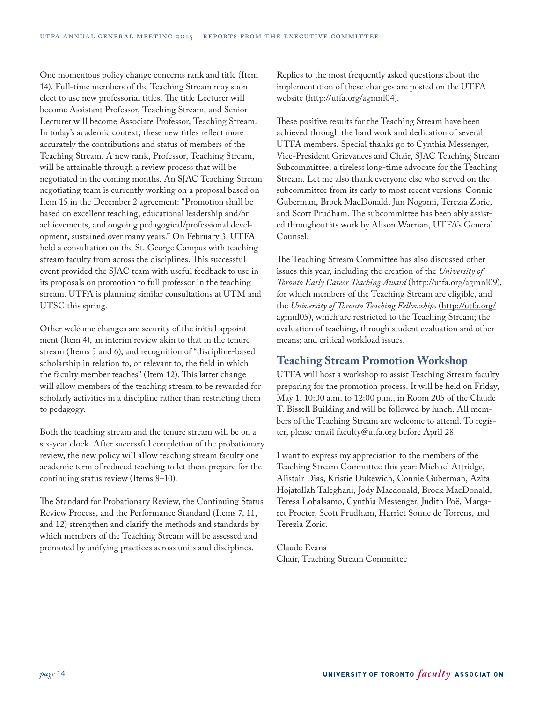One momentous policy change concerns rank and title (Item 14). Full-time members of the Teaching Stream may soon elect to use new professorial titles. The title Lecturer will become Assistant Professor, Teaching Stream, and Senior Lecturer will become Associate Professor, Teaching Stream. In today's academic context, these new titles reflect more accurately the contributions and status of members of the Teaching Stream. A new rank, Professor, Teaching Stream, will be attainable through a review process that will be negotiated in the coming months. An SJAC Teaching Stream negotiating team is currently working on a proposal based on Item 15 in the December 2 agreement: "Promotion shall be based on excellent teaching, educational leadership and/or achievements, and ongoing pedagogical/professional development, sustained over many years." On February 3, UTFA held a consultation on the St. George Campus with teaching stream faculty from across the disciplines. This successful event provided the SJAC team with useful feedback to use in its proposals on promotion to full professor in the teaching stream. UTFA is planning similar consultations at UTM and UTSC this spring.

Other welcome changes are security of the initial appointment (Item 4), an interim review akin to that in the tenure stream (Items 5 and 6), and recognition of "discipline-based scholarship in relation to, or relevant to, the field in which the faculty member teaches" (Item 12). This latter change will allow members of the teaching stream to be rewarded for scholarly activities in a discipline rather than restricting them to pedagogy.

Both the teaching stream and the tenure stream will be on a six-year clock. After successful completion of the probationary review, the new policy will allow teaching stream faculty one academic term of reduced teaching to let them prepare for the continuing status review (Items 8–10).

The Standard for Probationary Review, the Continuing Status Review Process, and the Performance Standard (Items 7, 11, and 12) strengthen and clarify the methods and standards by which members of the Teaching Stream will be assessed and promoted by unifying practices across units and disciplines.

Replies to the most frequently asked questions about the implementation of these changes are posted on the UTFA website ([http://utfa.org/agmnl04\)](http://www.utfa.org/agmnl04).

These positive results for the Teaching Stream have been achieved through the hard work and dedication of several UTFA members. Special thanks go to Cynthia Messenger, Vice-President Grievances and Chair, SJAC Teaching Stream Subcommittee, a tireless long-time advocate for the Teaching Stream. Let me also thank everyone else who served on the subcommittee from its early to most recent versions: Connie Guberman, Brock MacDonald, Jun Nogami, Terezia Zoric, and Scott Prudham. The subcommittee has been ably assisted throughout its work by Alison Warrian, UTFA's General Counsel.

The Teaching Stream Committee has also discussed other issues this year, including the creation of the *University of Toronto Early Career Teaching Award* ([http://utfa.org/agmnl09](http://www.utfa.org/agmnl09)), for which members of the Teaching Stream are eligible, and the *University of Toronto Teaching Fellowships* [\(http://utfa.org/](http://www.utfa.org/agmnl05) [agmnl05](http://www.utfa.org/agmnl05)), which are restricted to the Teaching Stream; the evaluation of teaching, through student evaluation and other means; and critical workload issues.

## **Teaching Stream Promotion Workshop**

UTFA will host a workshop to assist Teaching Stream faculty preparing for the promotion process. It will be held on Friday, May 1, 10:00 a.m. to 12:00 p.m., in Room 205 of the Claude T. Bissell Building and will be followed by lunch. All members of the Teaching Stream are welcome to attend. To register, please email [faculty@utfa.org](mailto:faculty@utfa.org) before April 28.

I want to express my appreciation to the members of the Teaching Stream Committee this year: Michael Attridge, Alistair Dias, Kristie Dukewich, Connie Guberman, Azita Hojatollah Taleghani, Jody Macdonald, Brock MacDonald, Teresa Lobalsamo, Cynthia Messenger, Judith Poë, Margaret Procter, Scott Prudham, Harriet Sonne de Torrens, and Terezia Zoric.

Claude Evans Chair, Teaching Stream Committee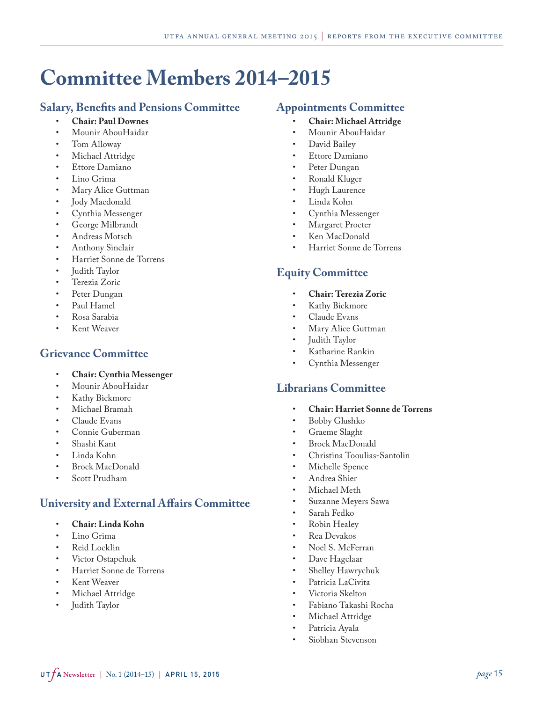# <span id="page-14-0"></span>**Committee Members 2014–2015**

## **Salary, Benefits and Pensions Committee**

- **Chair: Paul Downes**
- Mounir AbouHaidar
- Tom Alloway
- Michael Attridge
- Ettore Damiano
- Lino Grima
- Mary Alice Guttman
- Jody Macdonald
- Cynthia Messenger
- George Milbrandt
- Andreas Motsch
- Anthony Sinclair
- Harriet Sonne de Torrens
- Judith Taylor
- Terezia Zoric
- Peter Dungan
- Paul Hamel
- Rosa Sarabia
- Kent Weaver

# **Grievance Committee**

- **Chair: Cynthia Messenger**
- Mounir AbouHaidar
- Kathy Bickmore
- Michael Bramah
- Claude Evans
- Connie Guberman
- Shashi Kant
- Linda Kohn
- Brock MacDonald
- Scott Prudham

# **University and External Affairs Committee**

- **Chair: Linda Kohn**
- Lino Grima
- Reid Locklin
- Victor Ostapchuk
- Harriet Sonne de Torrens
- Kent Weaver
- Michael Attridge
- Judith Taylor

## **Appointments Committee**

- **Chair: Michael Attridge**
- Mounir AbouHaidar
- David Bailey
- Ettore Damiano
- Peter Dungan
- Ronald Kluger
- Hugh Laurence
- Linda Kohn
- Cynthia Messenger
- Margaret Procter
- Ken MacDonald
- Harriet Sonne de Torrens

# **Equity Committee**

- **Chair: Terezia Zoric**
- Kathy Bickmore
- Claude Evans
- Mary Alice Guttman
- Judith Taylor
- Katharine Rankin
- Cynthia Messenger

## **Librarians Committee**

- **Chair: Harriet Sonne de Torrens**
- Bobby Glushko
- Graeme Slaght
- Brock MacDonald
- Christina Tooulias-Santolin
- Michelle Spence
- Andrea Shier
- Michael Meth
- Suzanne Meyers Sawa
- Sarah Fedko
- Robin Healey
- Rea Devakos
- Noel S. McFerran
- Dave Hagelaar
- Shelley Hawrychuk
- Patricia LaCivita
- Victoria Skelton
- Fabiano Takashi Rocha
- Michael Attridge
- Patricia Ayala
- Siobhan Stevenson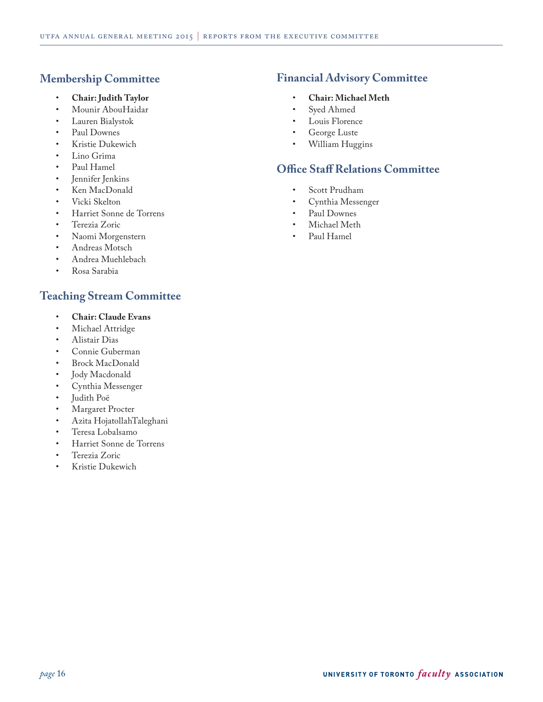# **Membership Committee**

- **Chair: Judith Taylor**
- Mounir AbouHaidar
- Lauren Bialystok
- Paul Downes
- Kristie Dukewich
- Lino Grima
- Paul Hamel
- Jennifer Jenkins
- Ken MacDonald
- Vicki Skelton
- Harriet Sonne de Torrens
- Terezia Zoric
- Naomi Morgenstern
- Andreas Motsch
- Andrea Muehlebach
- Rosa Sarabia

# **Teaching Stream Committee**

- **Chair: Claude Evans**
- Michael Attridge
- Alistair Dias
- Connie Guberman
- Brock MacDonald
- Jody Macdonald
- Cynthia Messenger
- Judith Poë
- Margaret Procter
- Azita HojatollahTaleghani
- Teresa Lobalsamo
- Harriet Sonne de Torrens
- Terezia Zoric
- Kristie Dukewich

# **Financial Advisory Committee**

- **Chair: Michael Meth**
- Syed Ahmed
- Louis Florence
- George Luste
- William Huggins

# **Office Staff Relations Committee**

- Scott Prudham
- Cynthia Messenger
- Paul Downes
- Michael Meth
- Paul Hamel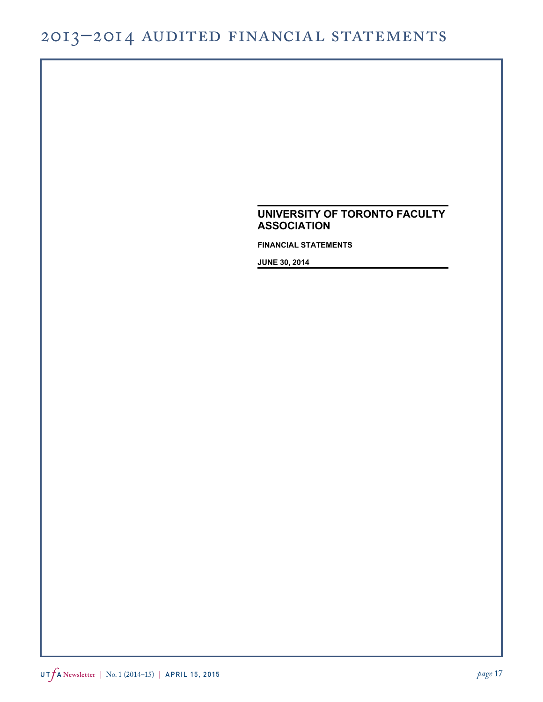# <span id="page-16-0"></span>2013–2014 Audited Financial Statements

# **UNIVERSITY OF TORONTO FACULTY ASSOCIATION**

**FINANCIAL STATEMENTS**

**JUNE 30, 2014**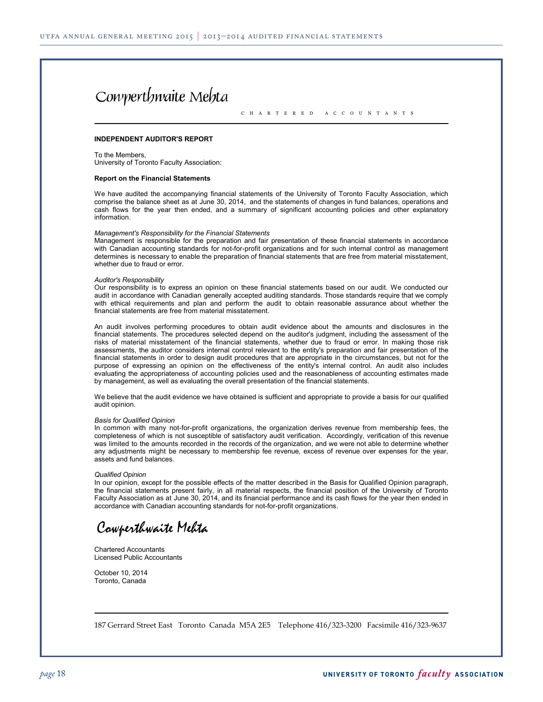# Cowperthwaite Mehta

C H A R T E R E D A C C O U N T A N T S

#### **INDEPENDENT AUDITOR'S REPORT**

To the Members, University of Toronto Faculty Association:

#### **Report on the Financial Statements**

We have audited the accompanying financial statements of the University of Toronto Faculty Association, which comprise the balance sheet as at June 30, 2014, and the statements of changes in fund balances, operations and cash flows for the year then ended, and a summary of significant accounting policies and other explanatory information.

#### *Management's Responsibility for the Financial Statements*

Management is responsible for the preparation and fair presentation of these financial statements in accordance with Canadian accounting standards for not-for-profit organizations and for such internal control as management determines is necessary to enable the preparation of financial statements that are free from material misstatement, whether due to fraud or error.

#### *Auditor's Responsibility*

Our responsibility is to express an opinion on these financial statements based on our audit. We conducted our audit in accordance with Canadian generally accepted auditing standards. Those standards require that we comply with ethical requirements and plan and perform the audit to obtain reasonable assurance about whether the financial statements are free from material misstatement.

An audit involves performing procedures to obtain audit evidence about the amounts and disclosures in the financial statements. The procedures selected depend on the auditor's judgment, including the assessment of the risks of material misstatement of the financial statements, whether due to fraud or error. In making those risk assessments, the auditor considers internal control relevant to the entity's preparation and fair presentation of the financial statements in order to design audit procedures that are appropriate in the circumstances, but not for the purpose of expressing an opinion on the effectiveness of the entity's internal control. An audit also includes evaluating the appropriateness of accounting policies used and the reasonableness of accounting estimates made by management, as well as evaluating the overall presentation of the financial statements.

We believe that the audit evidence we have obtained is sufficient and appropriate to provide a basis for our qualified audit opinion.

#### *Basis for Qualified Opinion*

In common with many not-for-profit organizations, the organization derives revenue from membership fees, the completeness of which is not susceptible of satisfactory audit verification. Accordingly, verification of this revenue was limited to the amounts recorded in the records of the organization, and we were not able to determine whether any adjustments might be necessary to membership fee revenue, excess of revenue over expenses for the year, assets and fund balances.

#### *Qualified Opinion*

In our opinion, except for the possible effects of the matter described in the Basis for Qualified Opinion paragraph, the financial statements present fairly, in all material respects, the financial position of the University of Toronto Faculty Association as at June 30, 2014, and its financial performance and its cash flows for the year then ended in accordance with Canadian accounting standards for not-for-profit organizations.

Cowperthwaite Mehta

Chartered Accountants Licensed Public Accountants

October 10, 2014 Toronto, Canada

187 Gerrard Street East Toronto Canada M5A 2E5 Telephone 416/323-3200 Facsimile 416/323-9637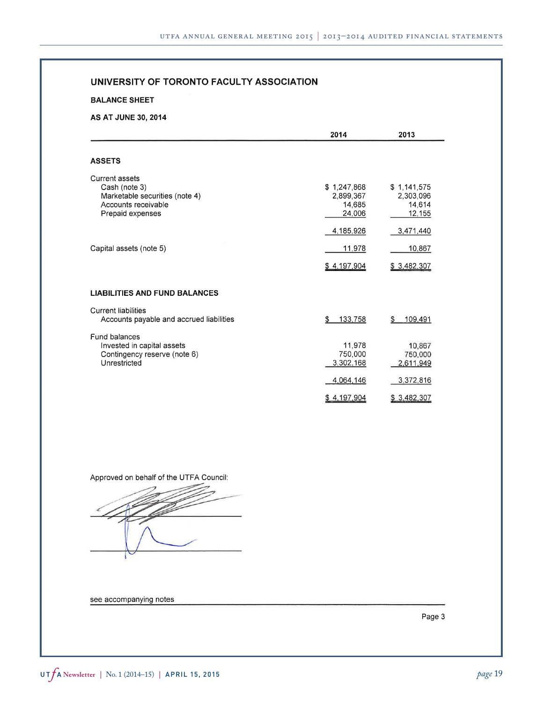**BALANCE SHEET** 

#### **AS AT JUNE 30, 2014**

|                                                                                                                     | 2014                                         | 2013                                         |
|---------------------------------------------------------------------------------------------------------------------|----------------------------------------------|----------------------------------------------|
| <b>ASSETS</b>                                                                                                       |                                              |                                              |
| <b>Current assets</b><br>Cash (note 3)<br>Marketable securities (note 4)<br>Accounts receivable<br>Prepaid expenses | \$1,247,868<br>2,899,367<br>14,685<br>24,006 | \$1,141,575<br>2,303,096<br>14,614<br>12,155 |
|                                                                                                                     | 4,185,926                                    | 3,471,440                                    |
| Capital assets (note 5)                                                                                             | 11,978                                       | 10,867                                       |
|                                                                                                                     | \$4,197,904                                  | \$3,482,307                                  |
| <b>LIABILITIES AND FUND BALANCES</b>                                                                                |                                              |                                              |
| <b>Current liabilities</b><br>Accounts payable and accrued liabilities                                              | \$<br>133,758                                | 109,491<br>\$                                |
| Fund balances<br>Invested in capital assets<br>Contingency reserve (note 6)<br>Unrestricted                         | 11,978<br>750,000<br>3,302,168               | 10.867<br>750,000<br>2,611,949               |
|                                                                                                                     | 4,064,146                                    | 3,372,816                                    |
|                                                                                                                     | \$4,197,904                                  | \$3,482,307                                  |

Approved on behalf of the UTFA Council:

see accompanying notes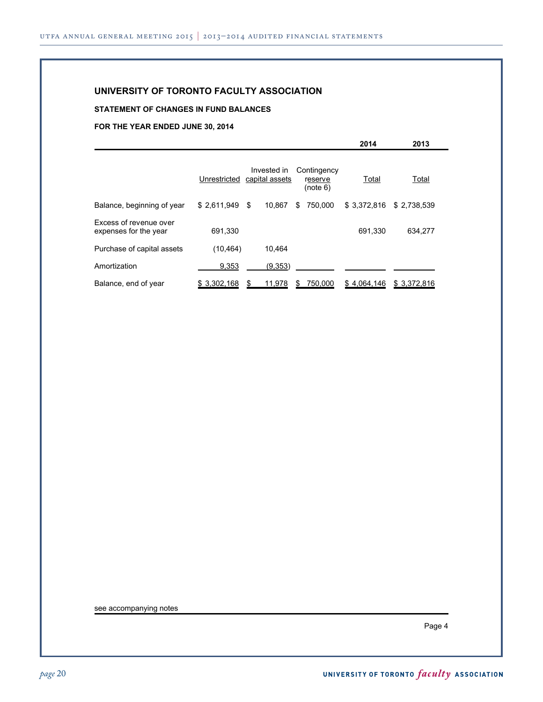#### **STATEMENT OF CHANGES IN FUND BALANCES**

**FOR THE YEAR ENDED JUNE 30, 2014**

|                                                 |              |                               |                                    | ZU 14       | 20 I J       |  |
|-------------------------------------------------|--------------|-------------------------------|------------------------------------|-------------|--------------|--|
|                                                 | Unrestricted | Invested in<br>capital assets | Contingency<br>reserve<br>(note 6) | Total       | Total        |  |
| Balance, beginning of year                      | \$2.611.949  | 10.867<br>- \$                | 750.000<br>\$                      | \$3.372.816 | \$2,738,539  |  |
| Excess of revenue over<br>expenses for the year | 691,330      |                               |                                    | 691.330     | 634.277      |  |
| Purchase of capital assets                      | (10, 464)    | 10.464                        |                                    |             |              |  |
| Amortization                                    | 9,353        | (9,353)                       |                                    |             |              |  |
| Balance, end of year                            | \$3,302,168  | 11,978                        | 750,000<br>S                       | \$4,064,146 | \$ 3,372,816 |  |

see accompanying notes

Page 4

**2014 2013**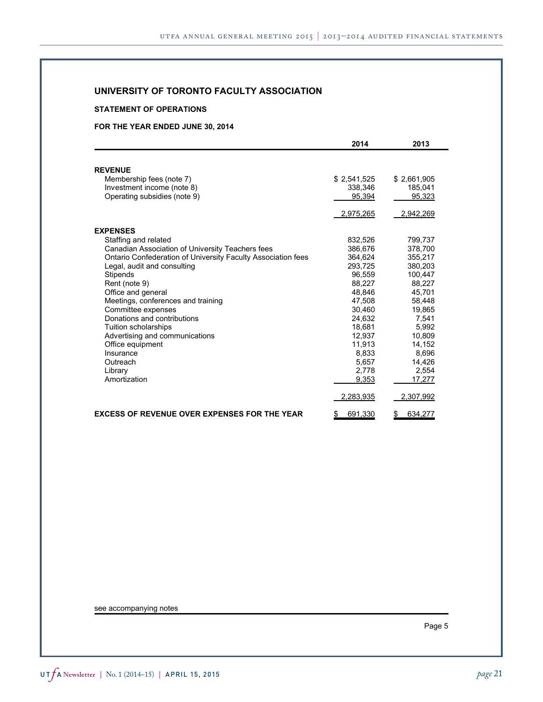#### **STATEMENT OF OPERATIONS**

#### **FOR THE YEAR ENDED JUNE 30, 2014**

|                                                              | 2014          | 2013          |
|--------------------------------------------------------------|---------------|---------------|
|                                                              |               |               |
| <b>REVENUE</b>                                               |               |               |
| Membership fees (note 7)                                     | \$2,541,525   | \$2,661,905   |
| Investment income (note 8)                                   | 338.346       | 185,041       |
| Operating subsidies (note 9)                                 | 95,394        | 95,323        |
|                                                              | 2,975,265     | 2,942,269     |
| <b>EXPENSES</b>                                              |               |               |
| Staffing and related                                         | 832,526       | 799,737       |
| Canadian Association of University Teachers fees             | 386,676       | 378,700       |
| Ontario Confederation of University Faculty Association fees | 364.624       | 355,217       |
| Legal, audit and consulting                                  | 293.725       | 380.203       |
| <b>Stipends</b>                                              | 96.559        | 100.447       |
| Rent (note 9)                                                | 88,227        | 88,227        |
| Office and general                                           | 48.846        | 45.701        |
| Meetings, conferences and training                           | 47.508        | 58,448        |
| Committee expenses                                           | 30.460        | 19.865        |
| Donations and contributions                                  | 24.632        | 7.541         |
| Tuition scholarships                                         | 18,681        | 5,992         |
| Advertising and communications                               | 12.937        | 10,809        |
| Office equipment                                             | 11,913        | 14,152        |
| Insurance                                                    | 8.833         | 8.696         |
| Outreach                                                     | 5,657         | 14,426        |
| Library                                                      | 2,778         | 2,554         |
| Amortization                                                 | 9,353         | 17,277        |
|                                                              | 2,283,935     | 2,307,992     |
| <b>EXCESS OF REVENUE OVER EXPENSES FOR THE YEAR</b>          | 691,330<br>\$ | \$<br>634,277 |

see accompanying notes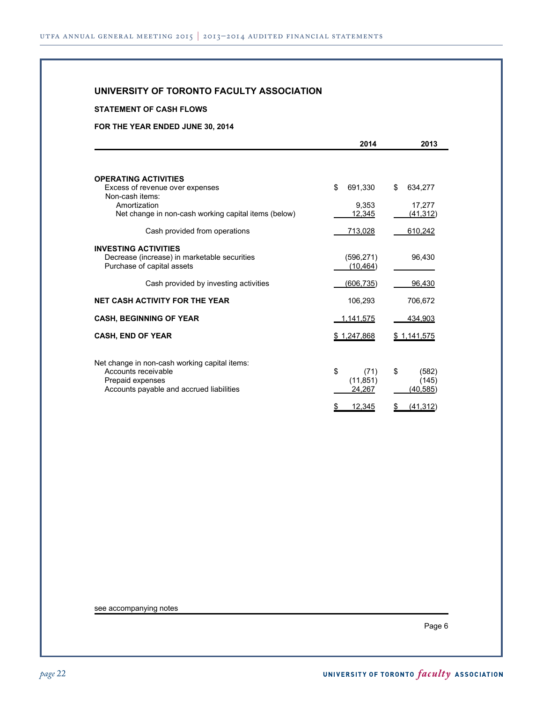#### **STATEMENT OF CASH FLOWS**

#### **FOR THE YEAR ENDED JUNE 30, 2014**

|                                                                                                                                      | 2014                              | 2013                             |
|--------------------------------------------------------------------------------------------------------------------------------------|-----------------------------------|----------------------------------|
|                                                                                                                                      |                                   |                                  |
| <b>OPERATING ACTIVITIES</b><br>Excess of revenue over expenses<br>Non-cash items:                                                    | \$<br>691,330                     | \$<br>634,277                    |
| Amortization<br>Net change in non-cash working capital items (below)                                                                 | 9,353<br>12,345                   | 17,277<br><u>(41,312)</u>        |
| Cash provided from operations                                                                                                        | 713,028                           | 610,242                          |
| <b>INVESTING ACTIVITIES</b><br>Decrease (increase) in marketable securities<br>Purchase of capital assets                            | (596, 271)<br>(10, 464)           | 96,430                           |
| Cash provided by investing activities                                                                                                | (606, 735)                        | 96,430                           |
| <b>NET CASH ACTIVITY FOR THE YEAR</b>                                                                                                | 106,293                           | 706,672                          |
| <b>CASH, BEGINNING OF YEAR</b>                                                                                                       | 1,141,575                         | 434,903                          |
| <b>CASH, END OF YEAR</b>                                                                                                             | \$1,247,868                       | \$1,141,575                      |
| Net change in non-cash working capital items:<br>Accounts receivable<br>Prepaid expenses<br>Accounts payable and accrued liabilities | \$<br>(71)<br>(11, 851)<br>24.267 | \$<br>(582)<br>(145)<br>(40,585) |
|                                                                                                                                      | 12,345<br>\$                      | (41, 312)<br>\$                  |

see accompanying notes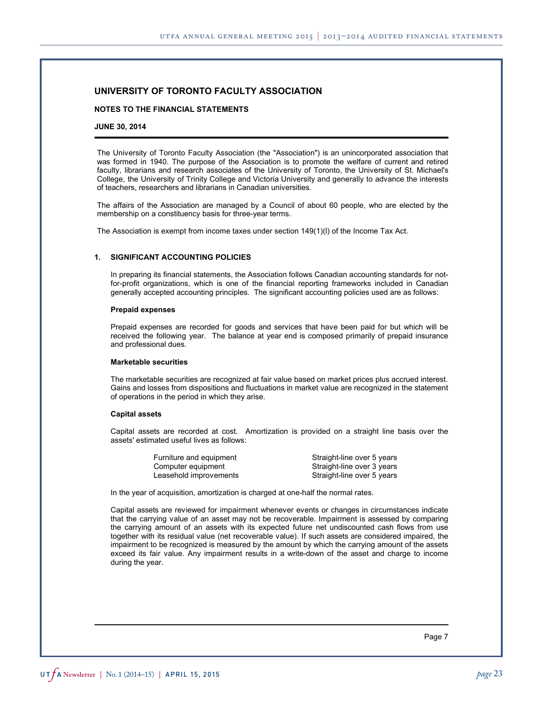#### **NOTES TO THE FINANCIAL STATEMENTS**

#### **JUNE 30, 2014**

The University of Toronto Faculty Association (the "Association") is an unincorporated association that was formed in 1940. The purpose of the Association is to promote the welfare of current and retired faculty, librarians and research associates of the University of Toronto, the University of St. Michael's College, the University of Trinity College and Victoria University and generally to advance the interests of teachers, researchers and librarians in Canadian universities.

The affairs of the Association are managed by a Council of about 60 people, who are elected by the membership on a constituency basis for three-year terms.

The Association is exempt from income taxes under section 149(1)(l) of the Income Tax Act.

#### **1. SIGNIFICANT ACCOUNTING POLICIES**

In preparing its financial statements, the Association follows Canadian accounting standards for notfor-profit organizations, which is one of the financial reporting frameworks included in Canadian generally accepted accounting principles. The significant accounting policies used are as follows:

#### **Prepaid expenses**

Prepaid expenses are recorded for goods and services that have been paid for but which will be received the following year. The balance at year end is composed primarily of prepaid insurance and professional dues.

#### **Marketable securities**

The marketable securities are recognized at fair value based on market prices plus accrued interest. Gains and losses from dispositions and fluctuations in market value are recognized in the statement of operations in the period in which they arise.

#### **Capital assets**

Capital assets are recorded at cost. Amortization is provided on a straight line basis over the assets' estimated useful lives as follows:

| Furniture and equipment | Straight-line over 5 years |
|-------------------------|----------------------------|
| Computer equipment      | Straight-line over 3 years |
| Leasehold improvements  | Straight-line over 5 years |

In the year of acquisition, amortization is charged at one-half the normal rates.

Capital assets are reviewed for impairment whenever events or changes in circumstances indicate that the carrying value of an asset may not be recoverable. Impairment is assessed by comparing the carrying amount of an assets with its expected future net undiscounted cash flows from use together with its residual value (net recoverable value). If such assets are considered impaired, the impairment to be recognized is measured by the amount by which the carrying amount of the assets exceed its fair value. Any impairment results in a write-down of the asset and charge to income during the year.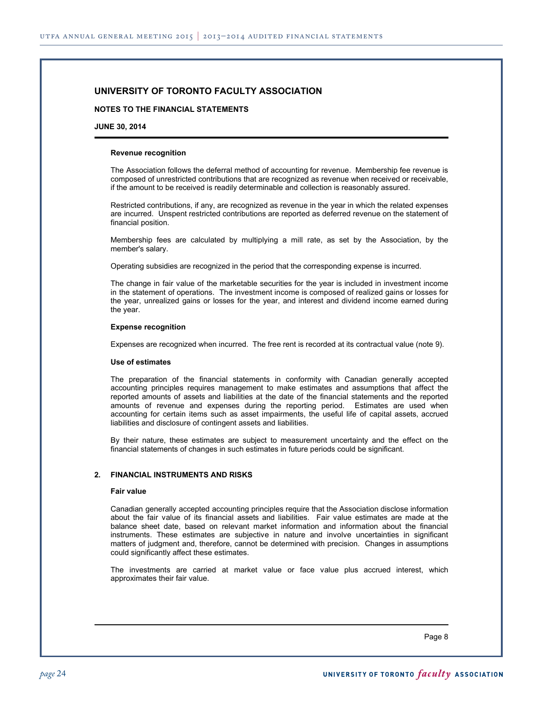#### **NOTES TO THE FINANCIAL STATEMENTS**

#### **JUNE 30, 2014**

#### **Revenue recognition**

The Association follows the deferral method of accounting for revenue. Membership fee revenue is composed of unrestricted contributions that are recognized as revenue when received or receivable, if the amount to be received is readily determinable and collection is reasonably assured.

Restricted contributions, if any, are recognized as revenue in the year in which the related expenses are incurred. Unspent restricted contributions are reported as deferred revenue on the statement of financial position.

Membership fees are calculated by multiplying a mill rate, as set by the Association, by the member's salary.

Operating subsidies are recognized in the period that the corresponding expense is incurred.

The change in fair value of the marketable securities for the year is included in investment income in the statement of operations. The investment income is composed of realized gains or losses for the year, unrealized gains or losses for the year, and interest and dividend income earned during the year.

#### **Expense recognition**

Expenses are recognized when incurred. The free rent is recorded at its contractual value (note 9).

#### **Use of estimates**

The preparation of the financial statements in conformity with Canadian generally accepted accounting principles requires management to make estimates and assumptions that affect the reported amounts of assets and liabilities at the date of the financial statements and the reported amounts of revenue and expenses during the reporting period. Estimates are used when accounting for certain items such as asset impairments, the useful life of capital assets, accrued liabilities and disclosure of contingent assets and liabilities.

By their nature, these estimates are subject to measurement uncertainty and the effect on the financial statements of changes in such estimates in future periods could be significant.

#### **2. FINANCIAL INSTRUMENTS AND RISKS**

#### **Fair value**

Canadian generally accepted accounting principles require that the Association disclose information about the fair value of its financial assets and liabilities. Fair value estimates are made at the balance sheet date, based on relevant market information and information about the financial instruments. These estimates are subjective in nature and involve uncertainties in significant matters of judgment and, therefore, cannot be determined with precision. Changes in assumptions could significantly affect these estimates.

The investments are carried at market value or face value plus accrued interest, which approximates their fair value.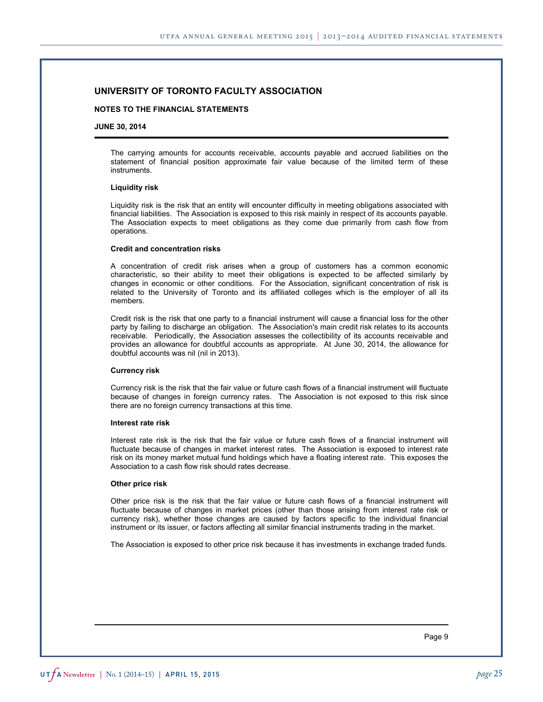#### **NOTES TO THE FINANCIAL STATEMENTS**

#### **JUNE 30, 2014**

The carrying amounts for accounts receivable, accounts payable and accrued liabilities on the statement of financial position approximate fair value because of the limited term of these instruments.

#### **Liquidity risk**

Liquidity risk is the risk that an entity will encounter difficulty in meeting obligations associated with financial liabilities. The Association is exposed to this risk mainly in respect of its accounts payable. The Association expects to meet obligations as they come due primarily from cash flow from operations.

#### **Credit and concentration risks**

A concentration of credit risk arises when a group of customers has a common economic characteristic, so their ability to meet their obligations is expected to be affected similarly by changes in economic or other conditions. For the Association, significant concentration of risk is related to the University of Toronto and its affiliated colleges which is the employer of all its members.

Credit risk is the risk that one party to a financial instrument will cause a financial loss for the other party by failing to discharge an obligation. The Association's main credit risk relates to its accounts receivable. Periodically, the Association assesses the collectibility of its accounts receivable and provides an allowance for doubtful accounts as appropriate. At June 30, 2014, the allowance for doubtful accounts was nil (nil in 2013).

#### **Currency risk**

Currency risk is the risk that the fair value or future cash flows of a financial instrument will fluctuate because of changes in foreign currency rates. The Association is not exposed to this risk since there are no foreign currency transactions at this time.

#### **Interest rate risk**

Interest rate risk is the risk that the fair value or future cash flows of a financial instrument will fluctuate because of changes in market interest rates. The Association is exposed to interest rate risk on its money market mutual fund holdings which have a floating interest rate. This exposes the Association to a cash flow risk should rates decrease.

#### **Other price risk**

Other price risk is the risk that the fair value or future cash flows of a financial instrument will fluctuate because of changes in market prices (other than those arising from interest rate risk or currency risk), whether those changes are caused by factors specific to the individual financial instrument or its issuer, or factors affecting all similar financial instruments trading in the market.

The Association is exposed to other price risk because it has investments in exchange traded funds.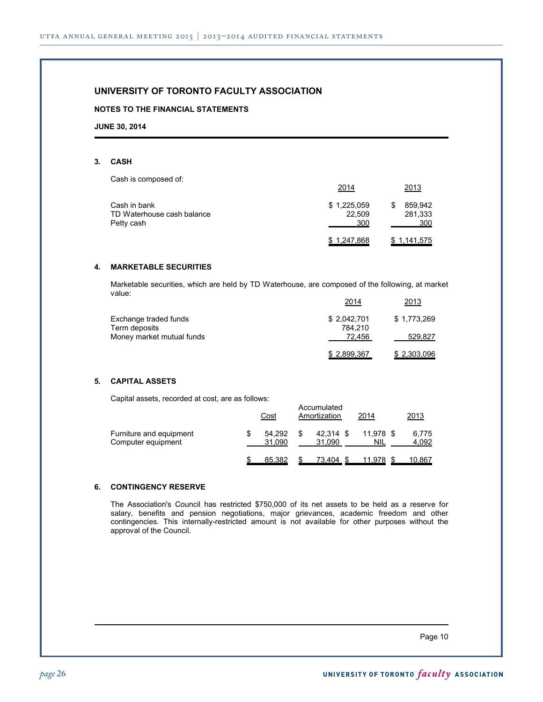#### **NOTES TO THE FINANCIAL STATEMENTS**

**JUNE 30, 2014**

#### **3. CASH**

Cash is composed of:

|                                          | 2014          | 2013           |
|------------------------------------------|---------------|----------------|
| Cash in bank                             | \$1,225,059   | 859.942        |
| TD Waterhouse cash balance<br>Petty cash | 22.509<br>300 | 281,333<br>300 |
|                                          | \$1,247,868   | \$1,141,575    |

#### **4. MARKETABLE SECURITIES**

Marketable securities, which are held by TD Waterhouse, are composed of the following, at market value: 2014 2013

|                           | 2014        | <u>ZU13</u> |
|---------------------------|-------------|-------------|
| Exchange traded funds     | \$2,042,701 | \$1,773,269 |
| Term deposits             | 784.210     |             |
| Money market mutual funds | 72.456      | 529,827     |
|                           | \$2,899,367 | \$2,303,096 |

#### **5. CAPITAL ASSETS**

Capital assets, recorded at cost, are as follows:

|                                               | Cost             | Accumulated<br>Amortization | 2014             | 2013           |
|-----------------------------------------------|------------------|-----------------------------|------------------|----------------|
| Furniture and equipment<br>Computer equipment | 54.292<br>31.090 | \$<br>42.314 \$<br>31.090   | 11.978 \$<br>NIL | 6,775<br>4.092 |
|                                               | 85.382           | 73,404 \$                   | 11,978           | 10,867         |

#### **6. CONTINGENCY RESERVE**

The Association's Council has restricted \$750,000 of its net assets to be held as a reserve for salary, benefits and pension negotiations, major grievances, academic freedom and other contingencies. This internally-restricted amount is not available for other purposes without the approval of the Council.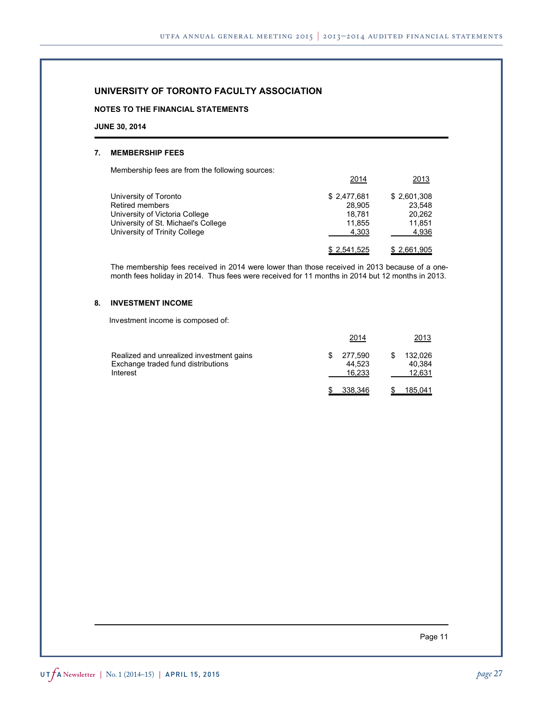#### **NOTES TO THE FINANCIAL STATEMENTS**

#### **JUNE 30, 2014**

#### **7. MEMBERSHIP FEES**

Membership fees are from the following sources:

|                                                                                                                                                           | 2014                                               | 2013                                               |
|-----------------------------------------------------------------------------------------------------------------------------------------------------------|----------------------------------------------------|----------------------------------------------------|
| University of Toronto<br><b>Retired members</b><br>University of Victoria College<br>University of St. Michael's College<br>University of Trinity College | \$2.477.681<br>28.905<br>18.781<br>11.855<br>4,303 | \$2,601,308<br>23.548<br>20.262<br>11.851<br>4,936 |
|                                                                                                                                                           | \$2,541,525                                        | \$2,661,905                                        |

The membership fees received in 2014 were lower than those received in 2013 because of a onemonth fees holiday in 2014. Thus fees were received for 11 months in 2014 but 12 months in 2013.

#### **8. INVESTMENT INCOME**

Investment income is composed of:

|                                                                                            | 2014                        | 2013                        |
|--------------------------------------------------------------------------------------------|-----------------------------|-----------------------------|
| Realized and unrealized investment gains<br>Exchange traded fund distributions<br>Interest | 277.590<br>44.523<br>16.233 | 132.026<br>40.384<br>12.631 |
|                                                                                            | 338,346                     | 185,041                     |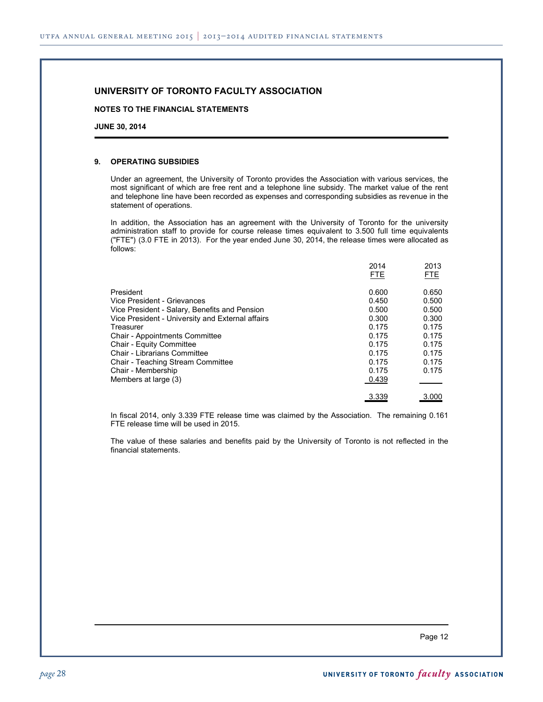#### **NOTES TO THE FINANCIAL STATEMENTS**

**JUNE 30, 2014**

#### **9. OPERATING SUBSIDIES**

Under an agreement, the University of Toronto provides the Association with various services, the most significant of which are free rent and a telephone line subsidy. The market value of the rent and telephone line have been recorded as expenses and corresponding subsidies as revenue in the statement of operations.

In addition, the Association has an agreement with the University of Toronto for the university administration staff to provide for course release times equivalent to 3.500 full time equivalents ("FTE") (3.0 FTE in 2013). For the year ended June 30, 2014, the release times were allocated as follows:

|                                                  | 2014<br><b>FTE</b> | 2013<br><b>FTE</b> |
|--------------------------------------------------|--------------------|--------------------|
| President                                        | 0.600              | 0.650              |
| Vice President - Grievances                      | 0.450              | 0.500              |
| Vice President - Salary, Benefits and Pension    | 0.500              | 0.500              |
| Vice President - University and External affairs | 0.300              | 0.300              |
| Treasurer                                        | 0.175              | 0.175              |
| <b>Chair - Appointments Committee</b>            | 0.175              | 0.175              |
| <b>Chair - Equity Committee</b>                  | 0.175              | 0.175              |
| <b>Chair - Librarians Committee</b>              | 0.175              | 0.175              |
| Chair - Teaching Stream Committee                | 0.175              | 0.175              |
| Chair - Membership                               | 0.175              | 0.175              |
| Members at large (3)                             | 0.439              |                    |
|                                                  | 3.339              | 3.000              |

In fiscal 2014, only 3.339 FTE release time was claimed by the Association. The remaining 0.161 FTE release time will be used in 2015.

The value of these salaries and benefits paid by the University of Toronto is not reflected in the financial statements.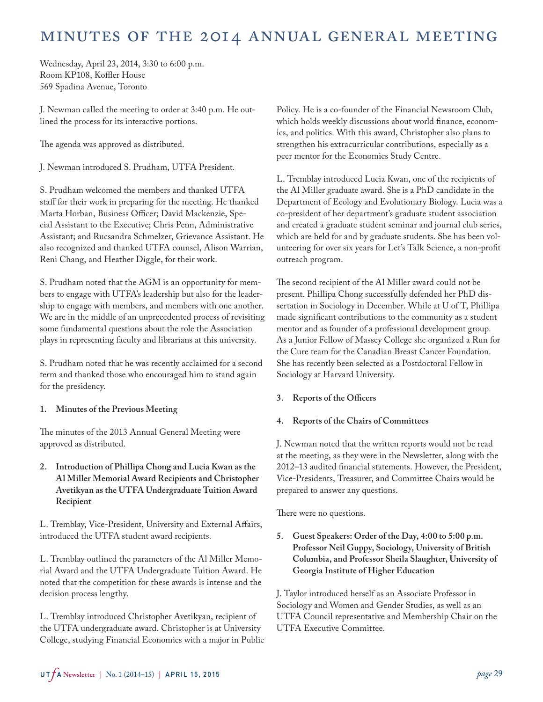# <span id="page-28-0"></span>Minutes of the 2014 Annual General Meeting

Wednesday, April 23, 2014, 3:30 to 6:00 p.m. Room KP108, Koffler House 569 Spadina Avenue, Toronto

J. Newman called the meeting to order at 3:40 p.m. He outlined the process for its interactive portions.

The agenda was approved as distributed.

J. Newman introduced S. Prudham, UTFA President.

S. Prudham welcomed the members and thanked UTFA staff for their work in preparing for the meeting. He thanked Marta Horban, Business Officer; David Mackenzie, Special Assistant to the Executive; Chris Penn, Administrative Assistant; and Rucsandra Schmelzer, Grievance Assistant. He also recognized and thanked UTFA counsel, Alison Warrian, Reni Chang, and Heather Diggle, for their work.

S. Prudham noted that the AGM is an opportunity for members to engage with UTFA's leadership but also for the leadership to engage with members, and members with one another. We are in the middle of an unprecedented process of revisiting some fundamental questions about the role the Association plays in representing faculty and librarians at this university.

S. Prudham noted that he was recently acclaimed for a second term and thanked those who encouraged him to stand again for the presidency.

#### **1. Minutes of the Previous Meeting**

The minutes of the 2013 Annual General Meeting were approved as distributed.

**2. Introduction of Phillipa Chong and Lucia Kwan as the Al Miller Memorial Award Recipients and Christopher Avetikyan as the UTFA Undergraduate Tuition Award Recipient**

L. Tremblay, Vice-President, University and External Affairs, introduced the UTFA student award recipients.

L. Tremblay outlined the parameters of the Al Miller Memorial Award and the UTFA Undergraduate Tuition Award. He noted that the competition for these awards is intense and the decision process lengthy.

L. Tremblay introduced Christopher Avetikyan, recipient of the UTFA undergraduate award. Christopher is at University College, studying Financial Economics with a major in Public Policy. He is a co-founder of the Financial Newsroom Club, which holds weekly discussions about world finance, economics, and politics. With this award, Christopher also plans to strengthen his extracurricular contributions, especially as a peer mentor for the Economics Study Centre.

L. Tremblay introduced Lucia Kwan, one of the recipients of the Al Miller graduate award. She is a PhD candidate in the Department of Ecology and Evolutionary Biology. Lucia was a co-president of her department's graduate student association and created a graduate student seminar and journal club series, which are held for and by graduate students. She has been volunteering for over six years for Let's Talk Science, a non-profit outreach program.

The second recipient of the Al Miller award could not be present. Phillipa Chong successfully defended her PhD dissertation in Sociology in December. While at U of T, Phillipa made significant contributions to the community as a student mentor and as founder of a professional development group. As a Junior Fellow of Massey College she organized a Run for the Cure team for the Canadian Breast Cancer Foundation. She has recently been selected as a Postdoctoral Fellow in Sociology at Harvard University.

## **3. Reports of the Officers**

#### **4. Reports of the Chairs of Committees**

J. Newman noted that the written reports would not be read at the meeting, as they were in the Newsletter, along with the 2012–13 audited financial statements. However, the President, Vice-Presidents, Treasurer, and Committee Chairs would be prepared to answer any questions.

There were no questions.

**5. Guest Speakers: Order of the Day, 4:00 to 5:00 p.m. Professor Neil Guppy, Sociology, University of British Columbia, and Professor Sheila Slaughter, University of Georgia Institute of Higher Education**

J. Taylor introduced herself as an Associate Professor in Sociology and Women and Gender Studies, as well as an UTFA Council representative and Membership Chair on the UTFA Executive Committee.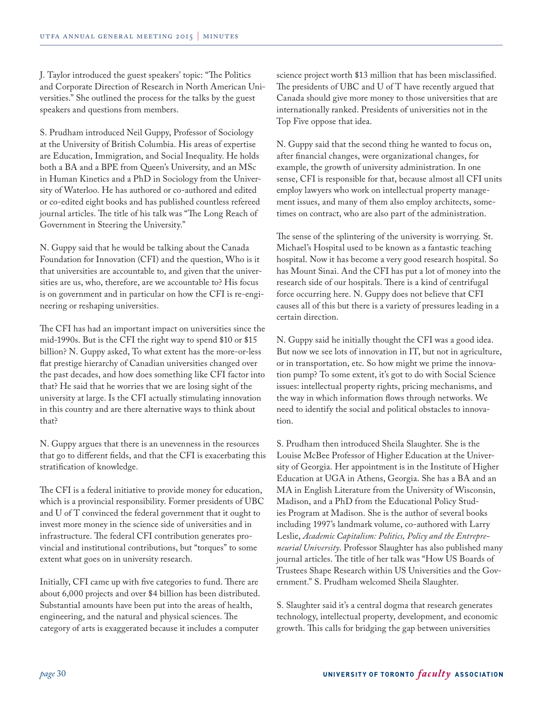J. Taylor introduced the guest speakers' topic: "The Politics and Corporate Direction of Research in North American Universities." She outlined the process for the talks by the guest speakers and questions from members.

S. Prudham introduced Neil Guppy, Professor of Sociology at the University of British Columbia. His areas of expertise are Education, Immigration, and Social Inequality. He holds both a BA and a BPE from Queen's University, and an MSc in Human Kinetics and a PhD in Sociology from the University of Waterloo. He has authored or co-authored and edited or co-edited eight books and has published countless refereed journal articles. The title of his talk was "The Long Reach of Government in Steering the University."

N. Guppy said that he would be talking about the Canada Foundation for Innovation (CFI) and the question, Who is it that universities are accountable to, and given that the universities are us, who, therefore, are we accountable to? His focus is on government and in particular on how the CFI is re-engineering or reshaping universities.

The CFI has had an important impact on universities since the mid-1990s. But is the CFI the right way to spend \$10 or \$15 billion? N. Guppy asked, To what extent has the more-or-less flat prestige hierarchy of Canadian universities changed over the past decades, and how does something like CFI factor into that? He said that he worries that we are losing sight of the university at large. Is the CFI actually stimulating innovation in this country and are there alternative ways to think about that?

N. Guppy argues that there is an unevenness in the resources that go to different fields, and that the CFI is exacerbating this stratification of knowledge.

The CFI is a federal initiative to provide money for education, which is a provincial responsibility. Former presidents of UBC and U of T convinced the federal government that it ought to invest more money in the science side of universities and in infrastructure. The federal CFI contribution generates provincial and institutional contributions, but "torques" to some extent what goes on in university research.

Initially, CFI came up with five categories to fund. There are about 6,000 projects and over \$4 billion has been distributed. Substantial amounts have been put into the areas of health, engineering, and the natural and physical sciences. The category of arts is exaggerated because it includes a computer

science project worth \$13 million that has been misclassified. The presidents of UBC and U of T have recently argued that Canada should give more money to those universities that are internationally ranked. Presidents of universities not in the Top Five oppose that idea.

N. Guppy said that the second thing he wanted to focus on, after financial changes, were organizational changes, for example, the growth of university administration. In one sense, CFI is responsible for that, because almost all CFI units employ lawyers who work on intellectual property management issues, and many of them also employ architects, sometimes on contract, who are also part of the administration.

The sense of the splintering of the university is worrying. St. Michael's Hospital used to be known as a fantastic teaching hospital. Now it has become a very good research hospital. So has Mount Sinai. And the CFI has put a lot of money into the research side of our hospitals. There is a kind of centrifugal force occurring here. N. Guppy does not believe that CFI causes all of this but there is a variety of pressures leading in a certain direction.

N. Guppy said he initially thought the CFI was a good idea. But now we see lots of innovation in IT, but not in agriculture, or in transportation, etc. So how might we prime the innovation pump? To some extent, it's got to do with Social Science issues: intellectual property rights, pricing mechanisms, and the way in which information flows through networks. We need to identify the social and political obstacles to innovation.

S. Prudham then introduced Sheila Slaughter. She is the Louise McBee Professor of Higher Education at the University of Georgia. Her appointment is in the Institute of Higher Education at UGA in Athens, Georgia. She has a BA and an MA in English Literature from the University of Wisconsin, Madison, and a PhD from the Educational Policy Studies Program at Madison. She is the author of several books including 1997's landmark volume, co-authored with Larry Leslie, *Academic Capitalism: Politics, Policy and the Entrepreneurial University*. Professor Slaughter has also published many journal articles. The title of her talk was "How US Boards of Trustees Shape Research within US Universities and the Government." S. Prudham welcomed Sheila Slaughter.

S. Slaughter said it's a central dogma that research generates technology, intellectual property, development, and economic growth. This calls for bridging the gap between universities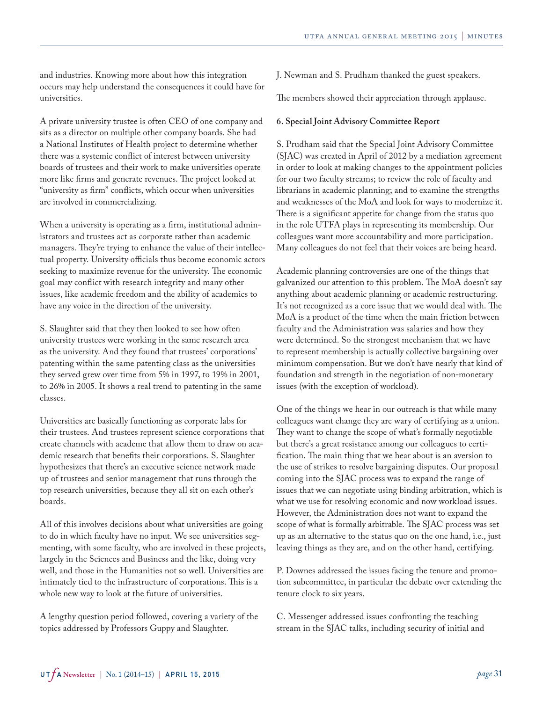and industries. Knowing more about how this integration occurs may help understand the consequences it could have for universities.

A private university trustee is often CEO of one company and sits as a director on multiple other company boards. She had a National Institutes of Health project to determine whether there was a systemic conflict of interest between university boards of trustees and their work to make universities operate more like firms and generate revenues. The project looked at "university as firm" conflicts, which occur when universities are involved in commercializing.

When a university is operating as a firm, institutional administrators and trustees act as corporate rather than academic managers. They're trying to enhance the value of their intellectual property. University officials thus become economic actors seeking to maximize revenue for the university. The economic goal may conflict with research integrity and many other issues, like academic freedom and the ability of academics to have any voice in the direction of the university.

S. Slaughter said that they then looked to see how often university trustees were working in the same research area as the university. And they found that trustees' corporations' patenting within the same patenting class as the universities they served grew over time from 5% in 1997, to 19% in 2001, to 26% in 2005. It shows a real trend to patenting in the same classes.

Universities are basically functioning as corporate labs for their trustees. And trustees represent science corporations that create channels with academe that allow them to draw on academic research that benefits their corporations. S. Slaughter hypothesizes that there's an executive science network made up of trustees and senior management that runs through the top research universities, because they all sit on each other's boards.

All of this involves decisions about what universities are going to do in which faculty have no input. We see universities segmenting, with some faculty, who are involved in these projects, largely in the Sciences and Business and the like, doing very well, and those in the Humanities not so well. Universities are intimately tied to the infrastructure of corporations. This is a whole new way to look at the future of universities.

A lengthy question period followed, covering a variety of the topics addressed by Professors Guppy and Slaughter.

J. Newman and S. Prudham thanked the guest speakers.

The members showed their appreciation through applause.

#### **6. Special Joint Advisory Committee Report**

S. Prudham said that the Special Joint Advisory Committee (SJAC) was created in April of 2012 by a mediation agreement in order to look at making changes to the appointment policies for our two faculty streams; to review the role of faculty and librarians in academic planning; and to examine the strengths and weaknesses of the MoA and look for ways to modernize it. There is a significant appetite for change from the status quo in the role UTFA plays in representing its membership. Our colleagues want more accountability and more participation. Many colleagues do not feel that their voices are being heard.

Academic planning controversies are one of the things that galvanized our attention to this problem. The MoA doesn't say anything about academic planning or academic restructuring. It's not recognized as a core issue that we would deal with. The MoA is a product of the time when the main friction between faculty and the Administration was salaries and how they were determined. So the strongest mechanism that we have to represent membership is actually collective bargaining over minimum compensation. But we don't have nearly that kind of foundation and strength in the negotiation of non-monetary issues (with the exception of workload).

One of the things we hear in our outreach is that while many colleagues want change they are wary of certifying as a union. They want to change the scope of what's formally negotiable but there's a great resistance among our colleagues to certification. The main thing that we hear about is an aversion to the use of strikes to resolve bargaining disputes. Our proposal coming into the SJAC process was to expand the range of issues that we can negotiate using binding arbitration, which is what we use for resolving economic and now workload issues. However, the Administration does not want to expand the scope of what is formally arbitrable. The SJAC process was set up as an alternative to the status quo on the one hand, i.e., just leaving things as they are, and on the other hand, certifying.

P. Downes addressed the issues facing the tenure and promotion subcommittee, in particular the debate over extending the tenure clock to six years.

C. Messenger addressed issues confronting the teaching stream in the SJAC talks, including security of initial and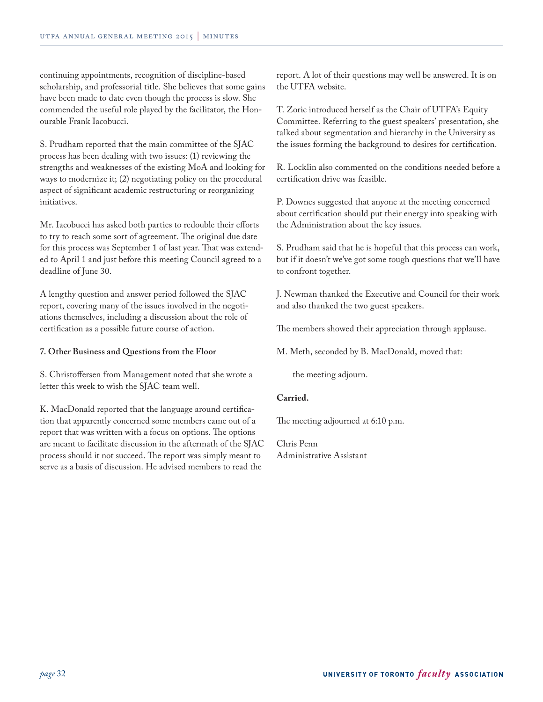continuing appointments, recognition of discipline-based scholarship, and professorial title. She believes that some gains have been made to date even though the process is slow. She commended the useful role played by the facilitator, the Honourable Frank Iacobucci.

S. Prudham reported that the main committee of the SJAC process has been dealing with two issues: (1) reviewing the strengths and weaknesses of the existing MoA and looking for ways to modernize it; (2) negotiating policy on the procedural aspect of significant academic restructuring or reorganizing initiatives.

Mr. Iacobucci has asked both parties to redouble their efforts to try to reach some sort of agreement. The original due date for this process was September 1 of last year. That was extended to April 1 and just before this meeting Council agreed to a deadline of June 30.

A lengthy question and answer period followed the SJAC report, covering many of the issues involved in the negotiations themselves, including a discussion about the role of certification as a possible future course of action.

#### **7. Other Business and Questions from the Floor**

S. Christoffersen from Management noted that she wrote a letter this week to wish the SJAC team well.

K. MacDonald reported that the language around certification that apparently concerned some members came out of a report that was written with a focus on options. The options are meant to facilitate discussion in the aftermath of the SJAC process should it not succeed. The report was simply meant to serve as a basis of discussion. He advised members to read the

report. A lot of their questions may well be answered. It is on the UTFA website.

T. Zoric introduced herself as the Chair of UTFA's Equity Committee. Referring to the guest speakers' presentation, she talked about segmentation and hierarchy in the University as the issues forming the background to desires for certification.

R. Locklin also commented on the conditions needed before a certification drive was feasible.

P. Downes suggested that anyone at the meeting concerned about certification should put their energy into speaking with the Administration about the key issues.

S. Prudham said that he is hopeful that this process can work, but if it doesn't we've got some tough questions that we'll have to confront together.

J. Newman thanked the Executive and Council for their work and also thanked the two guest speakers.

The members showed their appreciation through applause.

M. Meth, seconded by B. MacDonald, moved that:

the meeting adjourn.

#### **Carried.**

The meeting adjourned at 6:10 p.m.

Chris Penn Administrative Assistant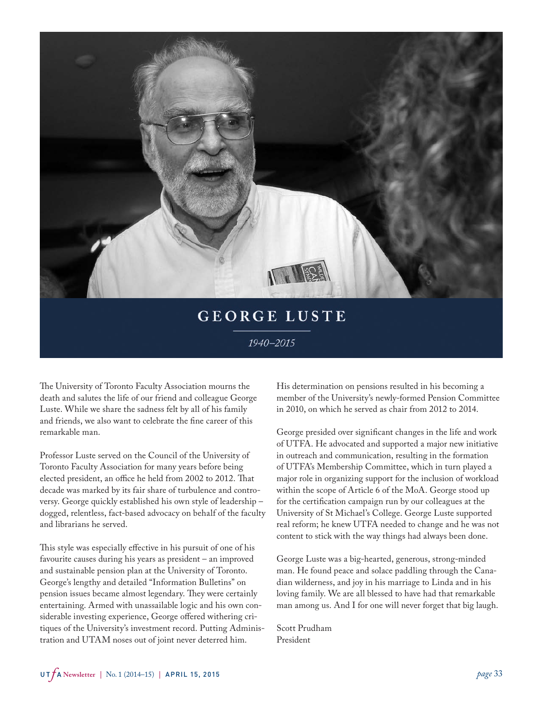<span id="page-32-0"></span>

# **GEORGE LUSTE**

1940-2015

The University of Toronto Faculty Association mourns the death and salutes the life of our friend and colleague George Luste. While we share the sadness felt by all of his family and friends, we also want to celebrate the fine career of this remarkable man.

Professor Luste served on the Council of the University of Toronto Faculty Association for many years before being elected president, an office he held from 2002 to 2012. That decade was marked by its fair share of turbulence and controversy. George quickly established his own style of leadership – dogged, relentless, fact-based advocacy on behalf of the faculty and librarians he served.

This style was especially effective in his pursuit of one of his favourite causes during his years as president – an improved and sustainable pension plan at the University of Toronto. George's lengthy and detailed "Information Bulletins" on pension issues became almost legendary. They were certainly entertaining. Armed with unassailable logic and his own considerable investing experience, George offered withering critiques of the University's investment record. Putting Administration and UTAM noses out of joint never deterred him.

His determination on pensions resulted in his becoming a member of the University's newly-formed Pension Committee in 2010, on which he served as chair from 2012 to 2014.

George presided over significant changes in the life and work of UTFA. He advocated and supported a major new initiative in outreach and communication, resulting in the formation of UTFA's Membership Committee, which in turn played a major role in organizing support for the inclusion of workload within the scope of Article 6 of the MoA. George stood up for the certification campaign run by our colleagues at the University of St Michael's College. George Luste supported real reform; he knew UTFA needed to change and he was not content to stick with the way things had always been done.

George Luste was a big-hearted, generous, strong-minded man. He found peace and solace paddling through the Canadian wilderness, and joy in his marriage to Linda and in his loving family. We are all blessed to have had that remarkable man among us. And I for one will never forget that big laugh.

Scott Prudham President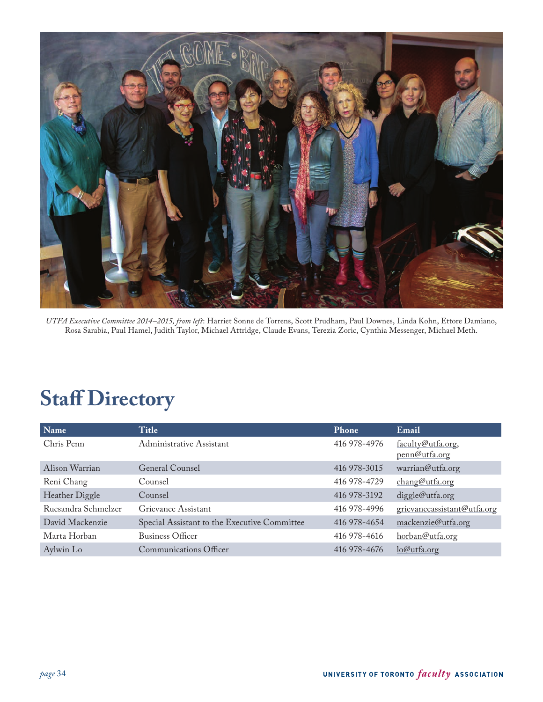<span id="page-33-0"></span>

*UTFA Executive Committee 2014–2015, from left*: Harriet Sonne de Torrens, Scott Prudham, Paul Downes, Linda Kohn, Ettore Damiano, Rosa Sarabia, Paul Hamel, Judith Taylor, Michael Attridge, Claude Evans, Terezia Zoric, Cynthia Messenger, Michael Meth.

# **Staff Directory**

| Name                | Title                                        | Phone        | Email                              |
|---------------------|----------------------------------------------|--------------|------------------------------------|
| Chris Penn          | Administrative Assistant                     | 416 978-4976 | faculty@utfa.org,<br>penn@utfa.org |
| Alison Warrian      | General Counsel                              | 416 978-3015 | warrian@utfa.org                   |
| Reni Chang          | Counsel                                      | 416 978-4729 | chang@utfa.org                     |
| Heather Diggle      | Counsel                                      | 416 978-3192 | diggle@utfa.org                    |
| Rucsandra Schmelzer | Grievance Assistant                          | 416 978-4996 | grievanceassistant@utfa.org        |
| David Mackenzie     | Special Assistant to the Executive Committee | 416 978-4654 | mackenzie@utfa.org                 |
| Marta Horban        | <b>Business Officer</b>                      | 416 978-4616 | horban@utfa.org                    |
| Aylwin Lo           | <b>Communications Officer</b>                | 416 978-4676 | lo@utfa.org                        |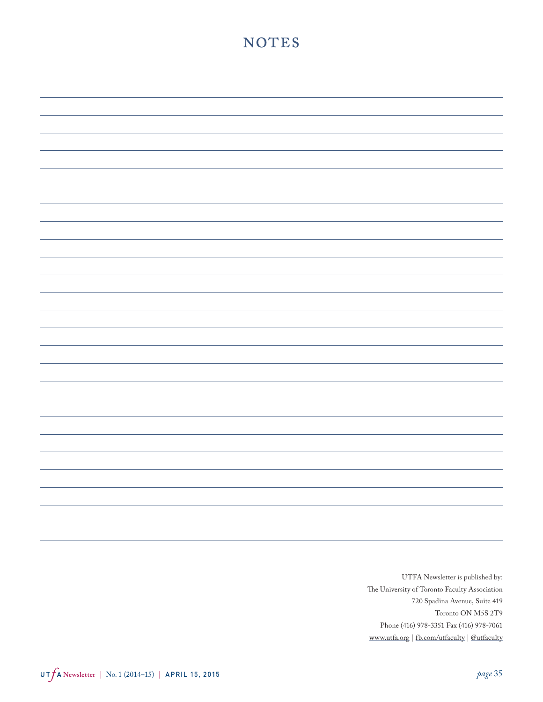# NOTES

UTFA Newsletter is published by: The University of Toronto Faculty Association 720 Spadina Avenue, Suite 419 Toronto ON M5S 2T9 Phone (416) 978-3351 Fax (416) 978-7061 [www.utfa.org](http://www.utfa.org) | [fb.com/utfaculty](http://facebook.com/utfaculty) | [@utfaculty](http://twitter.com/utfaculty)